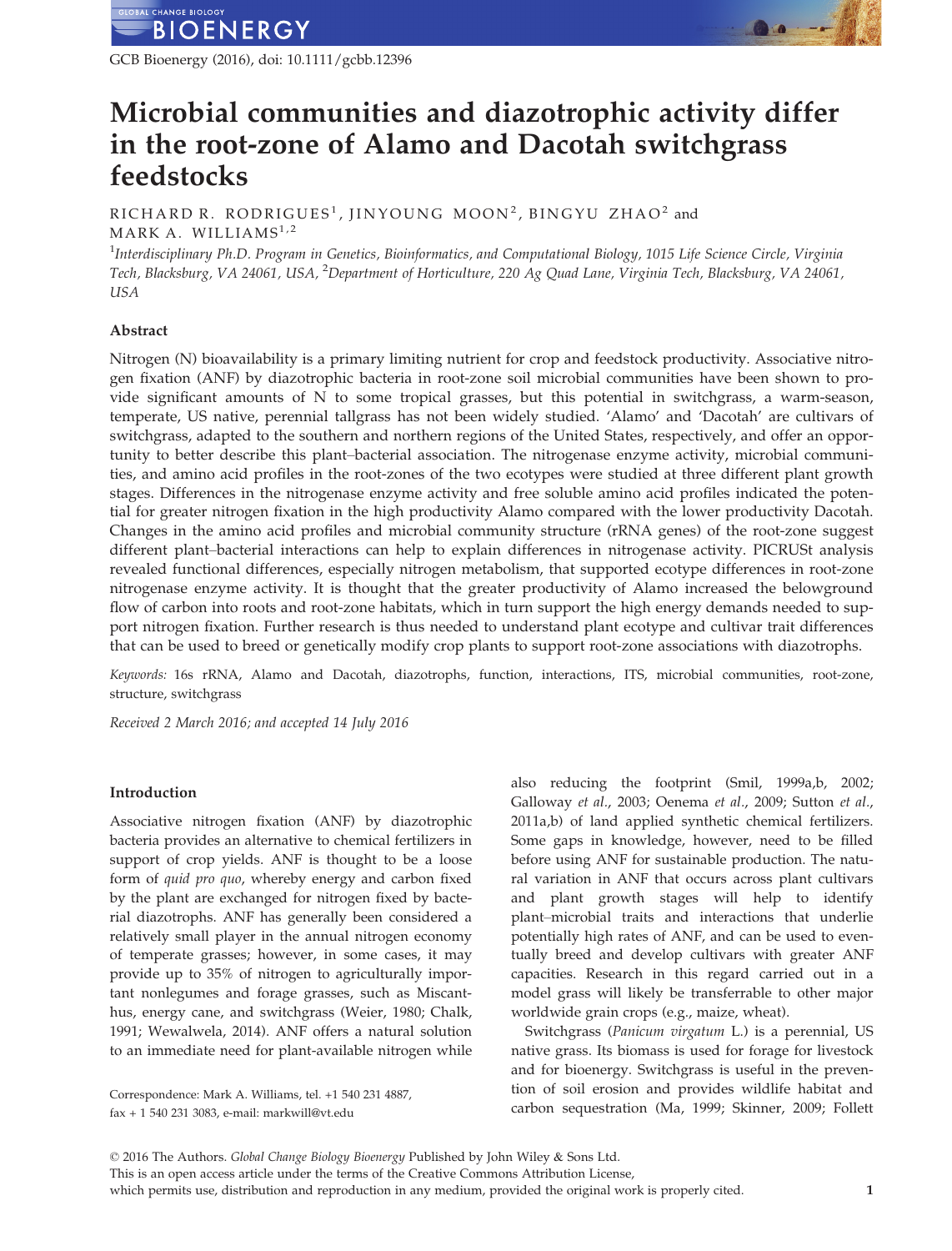

GCB Bioenergy (2016), doi: 10.1111/gcbb.12396



# Microbial communities and diazotrophic activity differ in the root-zone of Alamo and Dacotah switchgrass feedstocks

RICHARD R. RODRIGUES<sup>1</sup>, JINYOUNG MOON<sup>2</sup>, BINGYU ZHAO<sup>2</sup> and MARK A. WILLIAMS $1,2$ 

 $^1$ Interdisciplinary Ph.D. Program in Genetics, Bioinformatics, and Computational Biology, 1015 Life Science Circle, Virginia Tech, Blacksburg, VA 24061, USA, <sup>2</sup>Department of Horticulture, 220 Ag Quad Lane, Virginia Tech, Blacksburg, VA 24061, USA

# Abstract

Nitrogen (N) bioavailability is a primary limiting nutrient for crop and feedstock productivity. Associative nitrogen fixation (ANF) by diazotrophic bacteria in root-zone soil microbial communities have been shown to provide significant amounts of N to some tropical grasses, but this potential in switchgrass, a warm-season, temperate, US native, perennial tallgrass has not been widely studied. 'Alamo' and 'Dacotah' are cultivars of switchgrass, adapted to the southern and northern regions of the United States, respectively, and offer an opportunity to better describe this plant–bacterial association. The nitrogenase enzyme activity, microbial communities, and amino acid profiles in the root-zones of the two ecotypes were studied at three different plant growth stages. Differences in the nitrogenase enzyme activity and free soluble amino acid profiles indicated the potential for greater nitrogen fixation in the high productivity Alamo compared with the lower productivity Dacotah. Changes in the amino acid profiles and microbial community structure (rRNA genes) of the root-zone suggest different plant–bacterial interactions can help to explain differences in nitrogenase activity. PICRUSt analysis revealed functional differences, especially nitrogen metabolism, that supported ecotype differences in root-zone nitrogenase enzyme activity. It is thought that the greater productivity of Alamo increased the belowground flow of carbon into roots and root-zone habitats, which in turn support the high energy demands needed to support nitrogen fixation. Further research is thus needed to understand plant ecotype and cultivar trait differences that can be used to breed or genetically modify crop plants to support root-zone associations with diazotrophs.

Keywords: 16s rRNA, Alamo and Dacotah, diazotrophs, function, interactions, ITS, microbial communities, root-zone, structure, switchgrass

Received 2 March 2016; and accepted 14 July 2016

## Introduction

Associative nitrogen fixation (ANF) by diazotrophic bacteria provides an alternative to chemical fertilizers in support of crop yields. ANF is thought to be a loose form of quid pro quo, whereby energy and carbon fixed by the plant are exchanged for nitrogen fixed by bacterial diazotrophs. ANF has generally been considered a relatively small player in the annual nitrogen economy of temperate grasses; however, in some cases, it may provide up to 35% of nitrogen to agriculturally important nonlegumes and forage grasses, such as Miscanthus, energy cane, and switchgrass (Weier, 1980; Chalk, 1991; Wewalwela, 2014). ANF offers a natural solution to an immediate need for plant-available nitrogen while

fax + 1 540 231 3083, e-mail: markwill@vt.edu

also reducing the footprint (Smil, 1999a,b, 2002; Galloway et al., 2003; Oenema et al., 2009; Sutton et al., 2011a,b) of land applied synthetic chemical fertilizers. Some gaps in knowledge, however, need to be filled before using ANF for sustainable production. The natural variation in ANF that occurs across plant cultivars and plant growth stages will help to identify plant–microbial traits and interactions that underlie potentially high rates of ANF, and can be used to eventually breed and develop cultivars with greater ANF capacities. Research in this regard carried out in a model grass will likely be transferrable to other major worldwide grain crops (e.g., maize, wheat).

Switchgrass (Panicum virgatum L.) is a perennial, US native grass. Its biomass is used for forage for livestock and for bioenergy. Switchgrass is useful in the prevention of soil erosion and provides wildlife habitat and correspondence: Mark A. Williams, tel. +1 540 231 4887,<br>
fax + 1 540 231 3083, e-mail: markwill@vt edu carbon sequestration (Ma, 1999; Skinner, 2009; Follett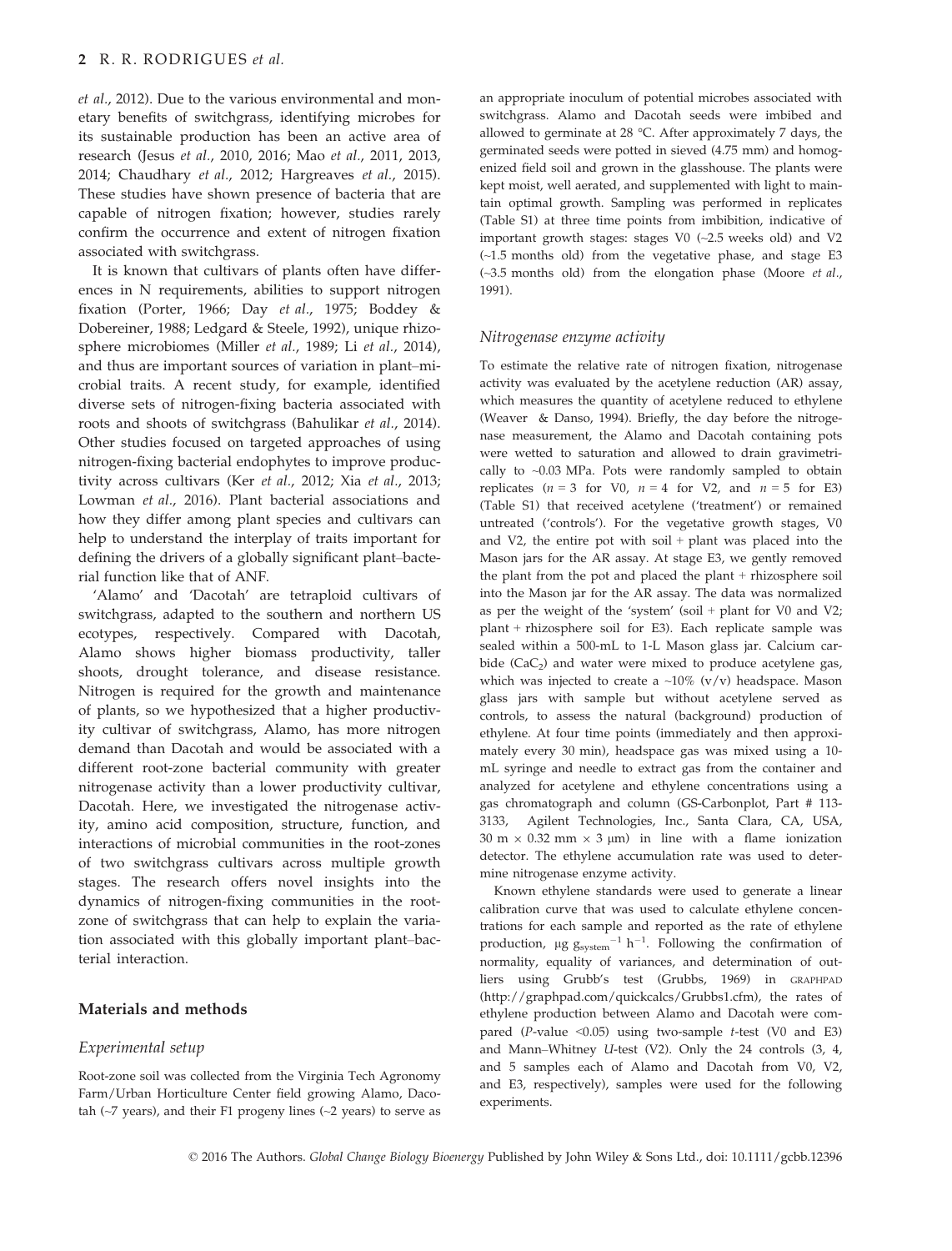et al., 2012). Due to the various environmental and monetary benefits of switchgrass, identifying microbes for its sustainable production has been an active area of research (Jesus et al., 2010, 2016; Mao et al., 2011, 2013, 2014; Chaudhary et al., 2012; Hargreaves et al., 2015). These studies have shown presence of bacteria that are capable of nitrogen fixation; however, studies rarely confirm the occurrence and extent of nitrogen fixation associated with switchgrass.

It is known that cultivars of plants often have differences in N requirements, abilities to support nitrogen fixation (Porter, 1966; Day et al., 1975; Boddey & Dobereiner, 1988; Ledgard & Steele, 1992), unique rhizosphere microbiomes (Miller et al., 1989; Li et al., 2014), and thus are important sources of variation in plant–microbial traits. A recent study, for example, identified diverse sets of nitrogen-fixing bacteria associated with roots and shoots of switchgrass (Bahulikar et al., 2014). Other studies focused on targeted approaches of using nitrogen-fixing bacterial endophytes to improve productivity across cultivars (Ker et al., 2012; Xia et al., 2013; Lowman et al., 2016). Plant bacterial associations and how they differ among plant species and cultivars can help to understand the interplay of traits important for defining the drivers of a globally significant plant–bacterial function like that of ANF.

'Alamo' and 'Dacotah' are tetraploid cultivars of switchgrass, adapted to the southern and northern US ecotypes, respectively. Compared with Dacotah, Alamo shows higher biomass productivity, taller shoots, drought tolerance, and disease resistance. Nitrogen is required for the growth and maintenance of plants, so we hypothesized that a higher productivity cultivar of switchgrass, Alamo, has more nitrogen demand than Dacotah and would be associated with a different root-zone bacterial community with greater nitrogenase activity than a lower productivity cultivar, Dacotah. Here, we investigated the nitrogenase activity, amino acid composition, structure, function, and interactions of microbial communities in the root-zones of two switchgrass cultivars across multiple growth stages. The research offers novel insights into the dynamics of nitrogen-fixing communities in the rootzone of switchgrass that can help to explain the variation associated with this globally important plant–bacterial interaction.

# Materials and methods

#### Experimental setup

Root-zone soil was collected from the Virginia Tech Agronomy Farm/Urban Horticulture Center field growing Alamo, Dacotah  $(\sim$ 7 years), and their F1 progeny lines  $(\sim$ 2 years) to serve as an appropriate inoculum of potential microbes associated with switchgrass. Alamo and Dacotah seeds were imbibed and allowed to germinate at 28 °C. After approximately 7 days, the germinated seeds were potted in sieved (4.75 mm) and homogenized field soil and grown in the glasshouse. The plants were kept moist, well aerated, and supplemented with light to maintain optimal growth. Sampling was performed in replicates (Table S1) at three time points from imbibition, indicative of important growth stages: stages  $V0$  ( $\sim$ 2.5 weeks old) and V2 (~1.5 months old) from the vegetative phase, and stage E3 (~3.5 months old) from the elongation phase (Moore et al., 1991).

## Nitrogenase enzyme activity

To estimate the relative rate of nitrogen fixation, nitrogenase activity was evaluated by the acetylene reduction (AR) assay, which measures the quantity of acetylene reduced to ethylene (Weaver & Danso, 1994). Briefly, the day before the nitrogenase measurement, the Alamo and Dacotah containing pots were wetted to saturation and allowed to drain gravimetrically to ~0.03 MPa. Pots were randomly sampled to obtain replicates ( $n = 3$  for V0,  $n = 4$  for V2, and  $n = 5$  for E3) (Table S1) that received acetylene ('treatment') or remained untreated ('controls'). For the vegetative growth stages, V0 and  $V2$ , the entire pot with soil + plant was placed into the Mason jars for the AR assay. At stage E3, we gently removed the plant from the pot and placed the plant + rhizosphere soil into the Mason jar for the AR assay. The data was normalized as per the weight of the 'system' (soil + plant for V0 and V2; plant + rhizosphere soil for E3). Each replicate sample was sealed within a 500-mL to 1-L Mason glass jar. Calcium carbide  $(CaC_2)$  and water were mixed to produce acetylene gas, which was injected to create a  $\sim$ 10% (v/v) headspace. Mason glass jars with sample but without acetylene served as controls, to assess the natural (background) production of ethylene. At four time points (immediately and then approximately every 30 min), headspace gas was mixed using a 10 mL syringe and needle to extract gas from the container and analyzed for acetylene and ethylene concentrations using a gas chromatograph and column (GS-Carbonplot, Part # 113- 3133, Agilent Technologies, Inc., Santa Clara, CA, USA, 30 m  $\times$  0.32 mm  $\times$  3 µm) in line with a flame ionization detector. The ethylene accumulation rate was used to determine nitrogenase enzyme activity.

Known ethylene standards were used to generate a linear calibration curve that was used to calculate ethylene concentrations for each sample and reported as the rate of ethylene production,  $\mu g g_{system}^{-1} h^{-1}$ . Following the confirmation of normality, equality of variances, and determination of outliers using Grubb's test (Grubbs, 1969) in GRAPHPAD ([http://graphpad.com/quickcalcs/Grubbs1.cfm\)](http://graphpad.com/quickcalcs/Grubbs1.cfm), the rates of ethylene production between Alamo and Dacotah were compared (P-value  $\leq 0.05$ ) using two-sample *t*-test (V0 and E3) and Mann–Whitney U-test (V2). Only the 24 controls (3, 4, and 5 samples each of Alamo and Dacotah from V0, V2, and E3, respectively), samples were used for the following experiments.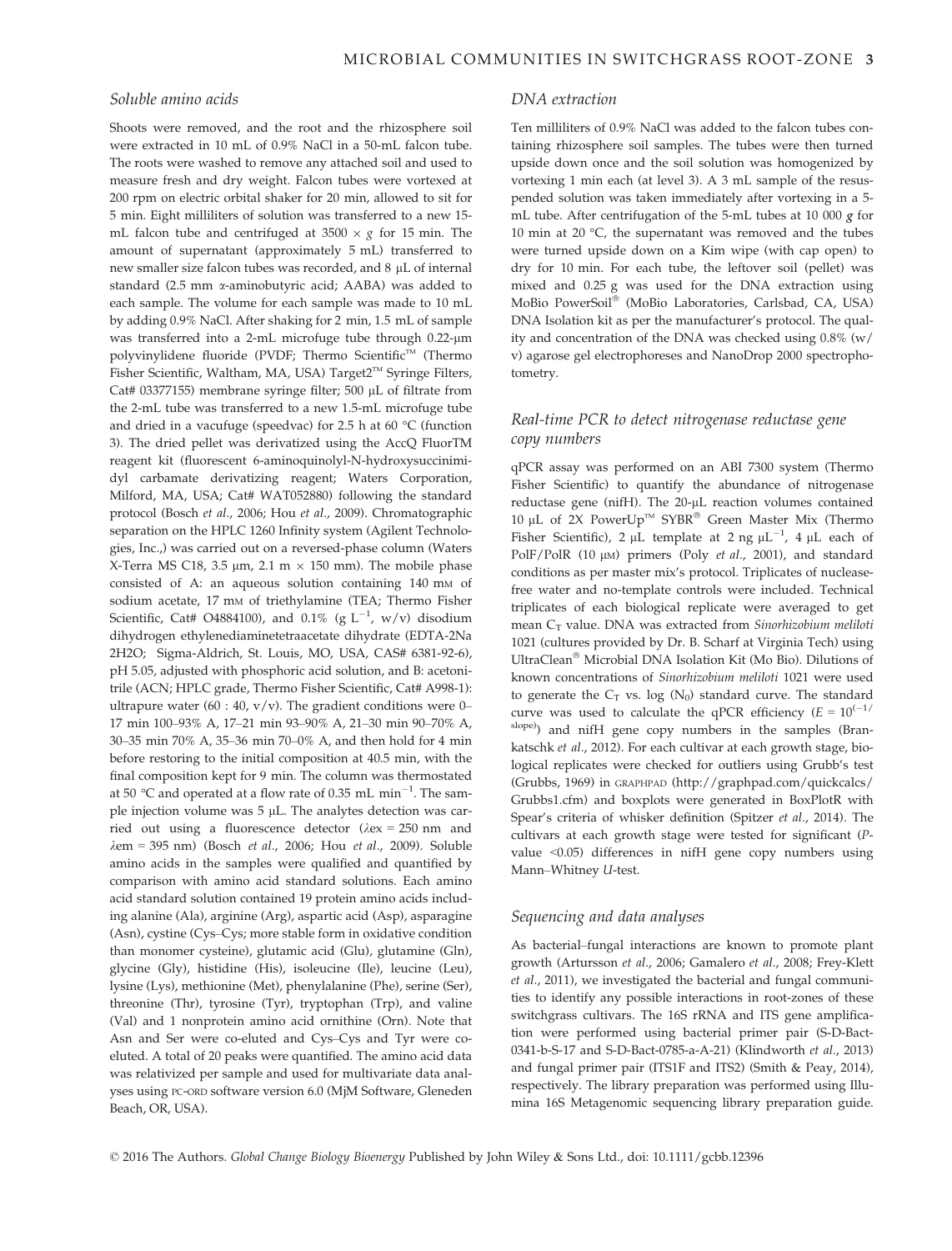#### Soluble amino acids

Shoots were removed, and the root and the rhizosphere soil were extracted in 10 mL of 0.9% NaCl in a 50-mL falcon tube. The roots were washed to remove any attached soil and used to measure fresh and dry weight. Falcon tubes were vortexed at 200 rpm on electric orbital shaker for 20 min, allowed to sit for 5 min. Eight milliliters of solution was transferred to a new 15 mL falcon tube and centrifuged at  $3500 \times g$  for 15 min. The amount of supernatant (approximately 5 mL) transferred to new smaller size falcon tubes was recorded, and 8 µL of internal standard (2.5 mm a-aminobutyric acid; AABA) was added to each sample. The volume for each sample was made to 10 mL by adding 0.9% NaCl. After shaking for 2 min, 1.5 mL of sample was transferred into a 2-mL microfuge tube through 0.22-µm polyvinylidene fluoride (PVDF; Thermo Scientific™ (Thermo Fisher Scientific, Waltham, MA, USA) Target2<sup>™</sup> Syringe Filters, Cat# 03377155) membrane syringe filter; 500  $\mu$ L of filtrate from the 2-mL tube was transferred to a new 1.5-mL microfuge tube and dried in a vacufuge (speedvac) for 2.5 h at 60 °C (function 3). The dried pellet was derivatized using the AccQ FluorTM reagent kit (fluorescent 6-aminoquinolyl-N-hydroxysuccinimidyl carbamate derivatizing reagent; Waters Corporation, Milford, MA, USA; Cat# WAT052880) following the standard protocol (Bosch et al., 2006; Hou et al., 2009). Chromatographic separation on the HPLC 1260 Infinity system (Agilent Technologies, Inc.,) was carried out on a reversed-phase column (Waters X-Terra MS C18, 3.5  $\mu$ m, 2.1 m  $\times$  150 mm). The mobile phase consisted of A: an aqueous solution containing 140 mM of sodium acetate, 17 mm of triethylamine (TEA; Thermo Fisher Scientific, Cat# O4884100), and 0.1% (g  $L^{-1}$ , w/v) disodium dihydrogen ethylenediaminetetraacetate dihydrate (EDTA-2Na 2H2O; Sigma-Aldrich, St. Louis, MO, USA, CAS# 6381-92-6), pH 5.05, adjusted with phosphoric acid solution, and B: acetonitrile (ACN; HPLC grade, Thermo Fisher Scientific, Cat# A998-1): ultrapure water (60 : 40,  $v/v$ ). The gradient conditions were 0– 17 min 100–93% A, 17–21 min 93–90% A, 21–30 min 90–70% A, 30–35 min 70% A, 35–36 min 70–0% A, and then hold for 4 min before restoring to the initial composition at 40.5 min, with the final composition kept for 9 min. The column was thermostated at 50 °C and operated at a flow rate of 0.35 mL min<sup>-1</sup>. The sample injection volume was  $5 \mu$ L. The analytes detection was carried out using a fluorescence detector ( $\lambda$ ex = 250 nm and kem = 395 nm) (Bosch et al., 2006; Hou et al., 2009). Soluble amino acids in the samples were qualified and quantified by comparison with amino acid standard solutions. Each amino acid standard solution contained 19 protein amino acids including alanine (Ala), arginine (Arg), aspartic acid (Asp), asparagine (Asn), cystine (Cys–Cys; more stable form in oxidative condition than monomer cysteine), glutamic acid (Glu), glutamine (Gln), glycine (Gly), histidine (His), isoleucine (Ile), leucine (Leu), lysine (Lys), methionine (Met), phenylalanine (Phe), serine (Ser), threonine (Thr), tyrosine (Tyr), tryptophan (Trp), and valine (Val) and 1 nonprotein amino acid ornithine (Orn). Note that Asn and Ser were co-eluted and Cys–Cys and Tyr were coeluted. A total of 20 peaks were quantified. The amino acid data was relativized per sample and used for multivariate data analyses using PC-ORD software version 6.0 (MjM Software, Gleneden Beach, OR, USA).

#### DNA extraction

Ten milliliters of 0.9% NaCl was added to the falcon tubes containing rhizosphere soil samples. The tubes were then turned upside down once and the soil solution was homogenized by vortexing 1 min each (at level 3). A 3 mL sample of the resuspended solution was taken immediately after vortexing in a 5 mL tube. After centrifugation of the 5-mL tubes at 10 000  $g$  for 10 min at 20 °C, the supernatant was removed and the tubes were turned upside down on a Kim wipe (with cap open) to dry for 10 min. For each tube, the leftover soil (pellet) was mixed and 0.25 g was used for the DNA extraction using MoBio PowerSoil® (MoBio Laboratories, Carlsbad, CA, USA) DNA Isolation kit as per the manufacturer's protocol. The quality and concentration of the DNA was checked using 0.8% (w/ v) agarose gel electrophoreses and NanoDrop 2000 spectrophotometry.

# Real-time PCR to detect nitrogenase reductase gene copy numbers

qPCR assay was performed on an ABI 7300 system (Thermo Fisher Scientific) to quantify the abundance of nitrogenase reductase gene (nifH). The 20-µL reaction volumes contained 10 µL of 2X PowerUp<sup>™</sup> SYBR® Green Master Mix (Thermo Fisher Scientific), 2 µL template at 2 ng  $\mu$ L<sup>-1</sup>, 4 µL each of PolF/PolR (10  $\mu$ M) primers (Poly et al., 2001), and standard conditions as per master mix's protocol. Triplicates of nucleasefree water and no-template controls were included. Technical triplicates of each biological replicate were averaged to get mean  $C_T$  value. DNA was extracted from Sinorhizobium meliloti 1021 (cultures provided by Dr. B. Scharf at Virginia Tech) using UltraClean<sup>®</sup> Microbial DNA Isolation Kit (Mo Bio). Dilutions of known concentrations of Sinorhizobium meliloti 1021 were used to generate the  $C_T$  vs. log (N<sub>0</sub>) standard curve. The standard curve was used to calculate the qPCR efficiency ( $E = 10^{(-1)}$ ) slope) and nifH gene copy numbers in the samples (Brankatschk et al., 2012). For each cultivar at each growth stage, biological replicates were checked for outliers using Grubb's test (Grubbs, 1969) in GRAPHPAD ([http://graphpad.com/quickcalcs/](http://graphpad.com/quickcalcs/Grubbs1.cfm) [Grubbs1.cfm](http://graphpad.com/quickcalcs/Grubbs1.cfm)) and boxplots were generated in BoxPlotR with Spear's criteria of whisker definition (Spitzer et al., 2014). The cultivars at each growth stage were tested for significant (Pvalue <0.05) differences in nifH gene copy numbers using Mann–Whitney U-test.

## Sequencing and data analyses

As bacterial–fungal interactions are known to promote plant growth (Artursson et al., 2006; Gamalero et al., 2008; Frey-Klett et al., 2011), we investigated the bacterial and fungal communities to identify any possible interactions in root-zones of these switchgrass cultivars. The 16S rRNA and ITS gene amplification were performed using bacterial primer pair (S-D-Bact-0341-b-S-17 and S-D-Bact-0785-a-A-21) (Klindworth et al., 2013) and fungal primer pair (ITS1F and ITS2) (Smith & Peay, 2014), respectively. The library preparation was performed using Illumina 16S Metagenomic sequencing library preparation guide.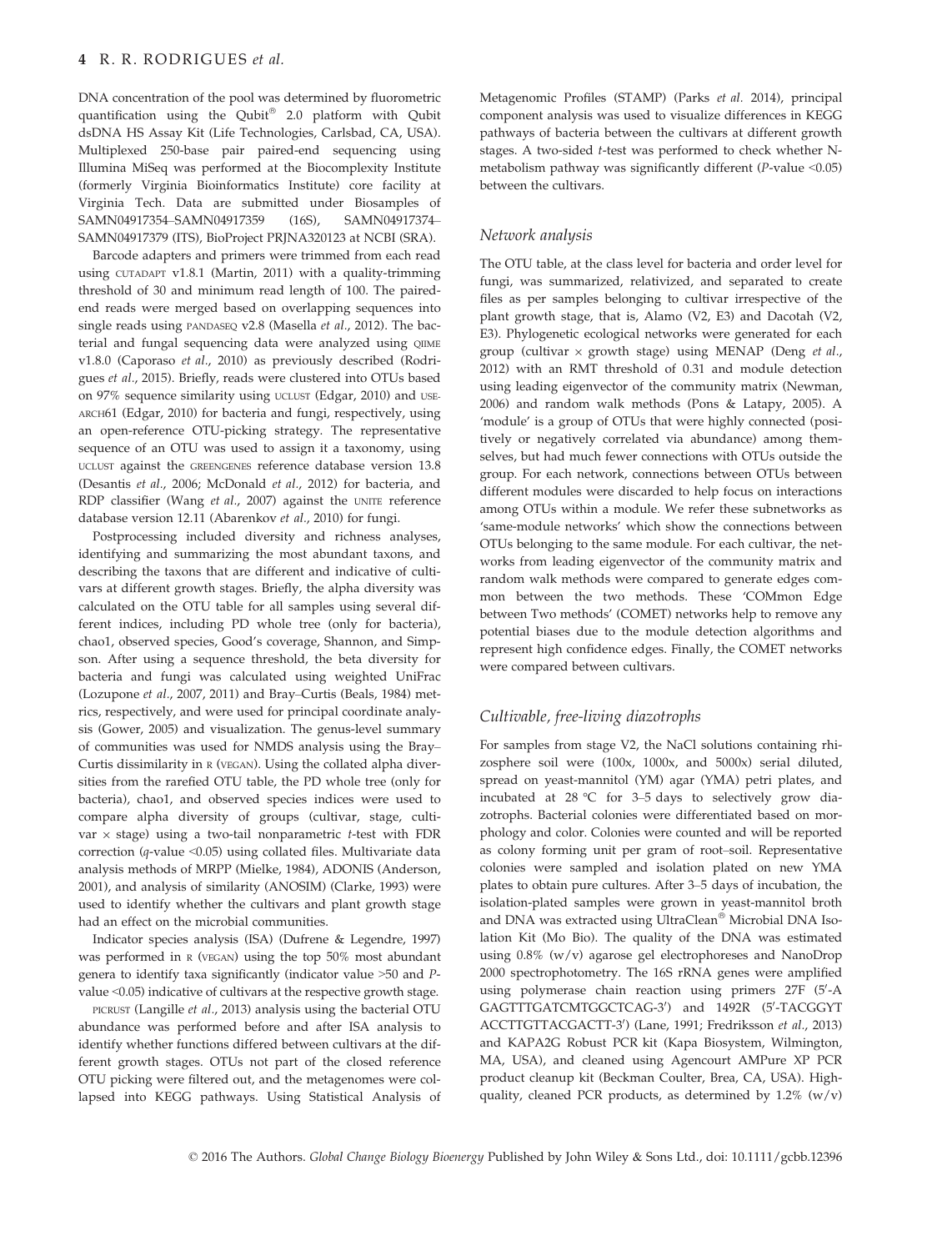DNA concentration of the pool was determined by fluorometric quantification using the Qubit® 2.0 platform with Qubit dsDNA HS Assay Kit (Life Technologies, Carlsbad, CA, USA). Multiplexed 250-base pair paired-end sequencing using Illumina MiSeq was performed at the Biocomplexity Institute (formerly Virginia Bioinformatics Institute) core facility at Virginia Tech. Data are submitted under Biosamples of SAMN04917354–SAMN04917359 (16S), SAMN04917374– SAMN04917379 (ITS), BioProject PRJNA320123 at NCBI (SRA).

Barcode adapters and primers were trimmed from each read using CUTADAPT v1.8.1 (Martin, 2011) with a quality-trimming threshold of 30 and minimum read length of 100. The pairedend reads were merged based on overlapping sequences into single reads using PANDASEQ v2.8 (Masella et al., 2012). The bacterial and fungal sequencing data were analyzed using QIIME v1.8.0 (Caporaso et al., 2010) as previously described (Rodrigues et al., 2015). Briefly, reads were clustered into OTUs based on 97% sequence similarity using UCLUST (Edgar, 2010) and USE-ARCH61 (Edgar, 2010) for bacteria and fungi, respectively, using an open-reference OTU-picking strategy. The representative sequence of an OTU was used to assign it a taxonomy, using UCLUST against the GREENGENES reference database version 13.8 (Desantis et al., 2006; McDonald et al., 2012) for bacteria, and RDP classifier (Wang et al., 2007) against the UNITE reference database version 12.11 (Abarenkov et al., 2010) for fungi.

Postprocessing included diversity and richness analyses, identifying and summarizing the most abundant taxons, and describing the taxons that are different and indicative of cultivars at different growth stages. Briefly, the alpha diversity was calculated on the OTU table for all samples using several different indices, including PD whole tree (only for bacteria), chao1, observed species, Good's coverage, Shannon, and Simpson. After using a sequence threshold, the beta diversity for bacteria and fungi was calculated using weighted UniFrac (Lozupone et al., 2007, 2011) and Bray–Curtis (Beals, 1984) metrics, respectively, and were used for principal coordinate analysis (Gower, 2005) and visualization. The genus-level summary of communities was used for NMDS analysis using the Bray– Curtis dissimilarity in <sup>R</sup> (VEGAN). Using the collated alpha diversities from the rarefied OTU table, the PD whole tree (only for bacteria), chao1, and observed species indices were used to compare alpha diversity of groups (cultivar, stage, cultivar  $\times$  stage) using a two-tail nonparametric t-test with FDR correction (q-value <0.05) using collated files. Multivariate data analysis methods of MRPP (Mielke, 1984), ADONIS (Anderson, 2001), and analysis of similarity (ANOSIM) (Clarke, 1993) were used to identify whether the cultivars and plant growth stage had an effect on the microbial communities.

Indicator species analysis (ISA) (Dufrene & Legendre, 1997) was performed in <sup>R</sup> (VEGAN) using the top 50% most abundant genera to identify taxa significantly (indicator value >50 and Pvalue <0.05) indicative of cultivars at the respective growth stage.

PICRUST (Langille et al., 2013) analysis using the bacterial OTU abundance was performed before and after ISA analysis to identify whether functions differed between cultivars at the different growth stages. OTUs not part of the closed reference OTU picking were filtered out, and the metagenomes were collapsed into KEGG pathways. Using Statistical Analysis of Metagenomic Profiles (STAMP) (Parks et al. 2014), principal component analysis was used to visualize differences in KEGG pathways of bacteria between the cultivars at different growth stages. A two-sided t-test was performed to check whether Nmetabolism pathway was significantly different ( $P$ -value <0.05) between the cultivars.

#### Network analysis

The OTU table, at the class level for bacteria and order level for fungi, was summarized, relativized, and separated to create files as per samples belonging to cultivar irrespective of the plant growth stage, that is, Alamo (V2, E3) and Dacotah (V2, E3). Phylogenetic ecological networks were generated for each group (cultivar  $\times$  growth stage) using MENAP (Deng et al., 2012) with an RMT threshold of 0.31 and module detection using leading eigenvector of the community matrix (Newman, 2006) and random walk methods (Pons & Latapy, 2005). A 'module' is a group of OTUs that were highly connected (positively or negatively correlated via abundance) among themselves, but had much fewer connections with OTUs outside the group. For each network, connections between OTUs between different modules were discarded to help focus on interactions among OTUs within a module. We refer these subnetworks as 'same-module networks' which show the connections between OTUs belonging to the same module. For each cultivar, the networks from leading eigenvector of the community matrix and random walk methods were compared to generate edges common between the two methods. These 'COMmon Edge between Two methods' (COMET) networks help to remove any potential biases due to the module detection algorithms and represent high confidence edges. Finally, the COMET networks were compared between cultivars.

## Cultivable, free-living diazotrophs

For samples from stage V2, the NaCl solutions containing rhizosphere soil were (100x, 1000x, and 5000x) serial diluted, spread on yeast-mannitol (YM) agar (YMA) petri plates, and incubated at 28 °C for 3–5 days to selectively grow diazotrophs. Bacterial colonies were differentiated based on morphology and color. Colonies were counted and will be reported as colony forming unit per gram of root–soil. Representative colonies were sampled and isolation plated on new YMA plates to obtain pure cultures. After 3–5 days of incubation, the isolation-plated samples were grown in yeast-mannitol broth and DNA was extracted using UltraClean® Microbial DNA Isolation Kit (Mo Bio). The quality of the DNA was estimated using 0.8% (w/v) agarose gel electrophoreses and NanoDrop 2000 spectrophotometry. The 16S rRNA genes were amplified using polymerase chain reaction using primers 27F (5'-A GAGTTTGATCMTGGCTCAG-3') and 1492R (5'-TACGGYT ACCTTGTTACGACTT-3') (Lane, 1991; Fredriksson et al., 2013) and KAPA2G Robust PCR kit (Kapa Biosystem, Wilmington, MA, USA), and cleaned using Agencourt AMPure XP PCR product cleanup kit (Beckman Coulter, Brea, CA, USA). Highquality, cleaned PCR products, as determined by  $1.2\%$  (w/v)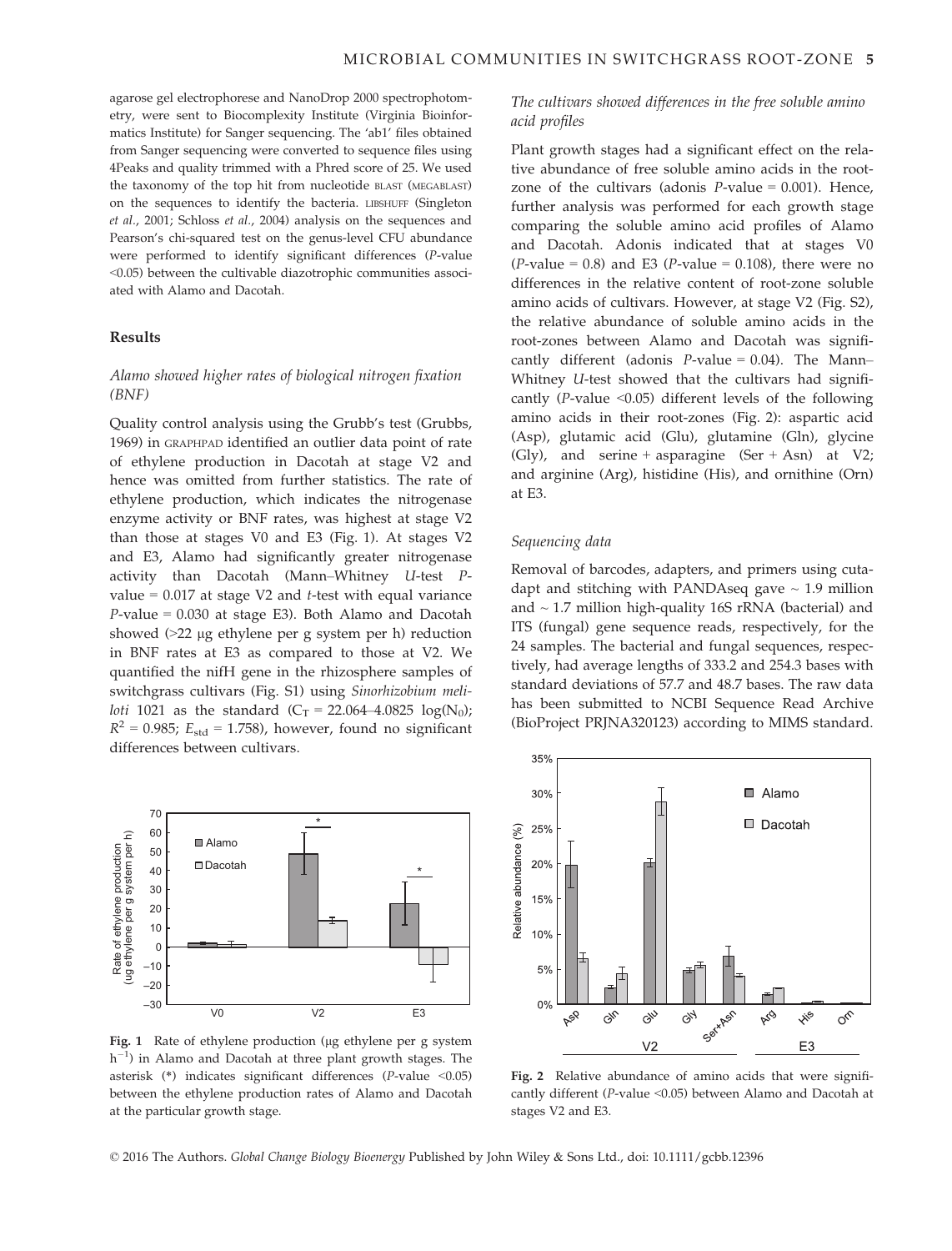agarose gel electrophorese and NanoDrop 2000 spectrophotometry, were sent to Biocomplexity Institute (Virginia Bioinformatics Institute) for Sanger sequencing. The 'ab1' files obtained from Sanger sequencing were converted to sequence files using 4Peaks and quality trimmed with a Phred score of 25. We used the taxonomy of the top hit from nucleotide BLAST (MEGABLAST) on the sequences to identify the bacteria. LIBSHUFF (Singleton et al., 2001; Schloss et al., 2004) analysis on the sequences and Pearson's chi-squared test on the genus-level CFU abundance were performed to identify significant differences (P-value <0.05) between the cultivable diazotrophic communities associated with Alamo and Dacotah.

#### Results

# Alamo showed higher rates of biological nitrogen fixation (BNF)

Quality control analysis using the Grubb's test (Grubbs, 1969) in GRAPHPAD identified an outlier data point of rate of ethylene production in Dacotah at stage V2 and hence was omitted from further statistics. The rate of ethylene production, which indicates the nitrogenase enzyme activity or BNF rates, was highest at stage V2 than those at stages V0 and E3 (Fig. 1). At stages V2 and E3, Alamo had significantly greater nitrogenase activity than Dacotah (Mann–Whitney U-test Pvalue =  $0.017$  at stage V2 and *t*-test with equal variance  $P$ -value = 0.030 at stage E3). Both Alamo and Dacotah showed  $(22 \mu g$  ethylene per g system per h) reduction in BNF rates at E3 as compared to those at V2. We quantified the nifH gene in the rhizosphere samples of switchgrass cultivars (Fig. S1) using Sinorhizobium meli*loti* 1021 as the standard ( $C_T = 22.064 - 4.0825 \log(N_0);$  $R^2$  = 0.985;  $E_{\text{std}}$  = 1.758), however, found no significant differences between cultivars.



### Fig. 1 Rate of ethylene production (µg ethylene per g system  $h^{-1}$ ) in Alamo and Dacotah at three plant growth stages. The asterisk (\*) indicates significant differences (P-value <0.05) between the ethylene production rates of Alamo and Dacotah at the particular growth stage.

# The cultivars showed differences in the free soluble amino acid profiles

Plant growth stages had a significant effect on the relative abundance of free soluble amino acids in the rootzone of the cultivars (adonis  $P$ -value = 0.001). Hence, further analysis was performed for each growth stage comparing the soluble amino acid profiles of Alamo and Dacotah. Adonis indicated that at stages V0  $(P\text{-value} = 0.8)$  and E3  $(P\text{-value} = 0.108)$ , there were no differences in the relative content of root-zone soluble amino acids of cultivars. However, at stage V2 (Fig. S2), the relative abundance of soluble amino acids in the root-zones between Alamo and Dacotah was significantly different (adonis  $P$ -value = 0.04). The Mann– Whitney *U*-test showed that the cultivars had significantly ( $P$ -value <0.05) different levels of the following amino acids in their root-zones (Fig. 2): aspartic acid (Asp), glutamic acid (Glu), glutamine (Gln), glycine (Gly), and serine + asparagine  $(Ser + Asn)$  at V2; and arginine (Arg), histidine (His), and ornithine (Orn) at E3.

#### Sequencing data

Removal of barcodes, adapters, and primers using cutadapt and stitching with PANDAseq gave  $\sim$  1.9 million and  $\sim$  1.7 million high-quality 16S rRNA (bacterial) and ITS (fungal) gene sequence reads, respectively, for the 24 samples. The bacterial and fungal sequences, respectively, had average lengths of 333.2 and 254.3 bases with standard deviations of 57.7 and 48.7 bases. The raw data has been submitted to NCBI Sequence Read Archive (BioProject PRJNA320123) according to MIMS standard.



Fig. 2 Relative abundance of amino acids that were significantly different (P-value <0.05) between Alamo and Dacotah at stages V2 and E3.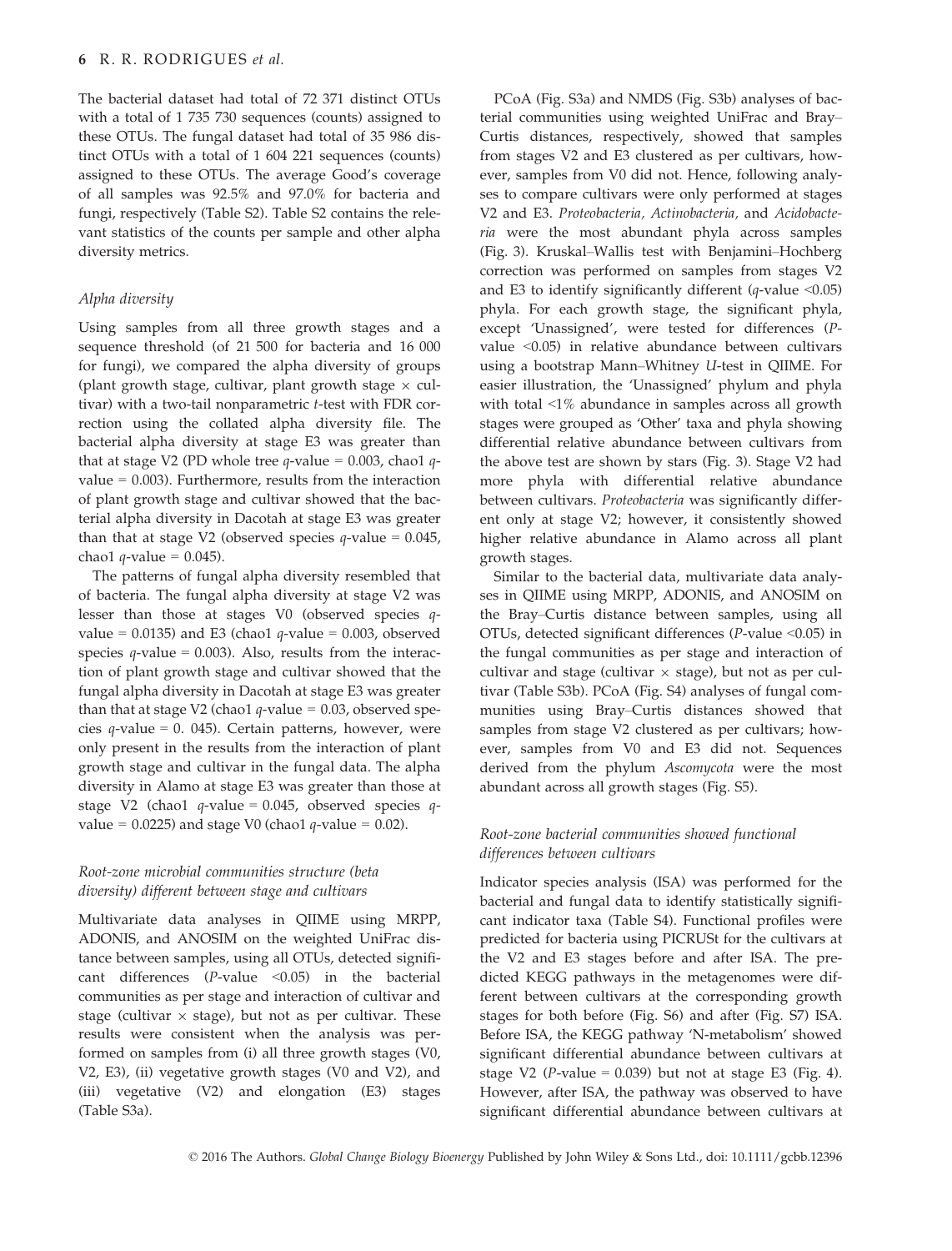The bacterial dataset had total of 72 371 distinct OTUs with a total of 1 735 730 sequences (counts) assigned to these OTUs. The fungal dataset had total of 35 986 distinct OTUs with a total of 1 604 221 sequences (counts) assigned to these OTUs. The average Good's coverage of all samples was 92.5% and 97.0% for bacteria and fungi, respectively (Table S2). Table S2 contains the relevant statistics of the counts per sample and other alpha diversity metrics.

## Alpha diversity

Using samples from all three growth stages and a sequence threshold (of 21 500 for bacteria and 16 000 for fungi), we compared the alpha diversity of groups (plant growth stage, cultivar, plant growth stage  $\times$  cultivar) with a two-tail nonparametric t-test with FDR correction using the collated alpha diversity file. The bacterial alpha diversity at stage E3 was greater than that at stage V2 (PD whole tree q-value =  $0.003$ , chao1 qvalue = 0.003). Furthermore, results from the interaction of plant growth stage and cultivar showed that the bacterial alpha diversity in Dacotah at stage E3 was greater than that at stage V2 (observed species  $q$ -value = 0.045, chao1 *q*-value =  $0.045$ ).

The patterns of fungal alpha diversity resembled that of bacteria. The fungal alpha diversity at stage V2 was lesser than those at stages V0 (observed species qvalue =  $0.0135$ ) and E3 (chao1 q-value =  $0.003$ , observed species  $q$ -value = 0.003). Also, results from the interaction of plant growth stage and cultivar showed that the fungal alpha diversity in Dacotah at stage E3 was greater than that at stage V2 (chao1  $q$ -value = 0.03, observed species  $q$ -value = 0. 045). Certain patterns, however, were only present in the results from the interaction of plant growth stage and cultivar in the fungal data. The alpha diversity in Alamo at stage E3 was greater than those at stage V2 (chao1  $q$ -value = 0.045, observed species  $q$ value =  $0.0225$ ) and stage V0 (chao1 *q*-value =  $0.02$ ).

## Root-zone microbial communities structure (beta diversity) different between stage and cultivars

Multivariate data analyses in QIIME using MRPP, ADONIS, and ANOSIM on the weighted UniFrac distance between samples, using all OTUs, detected significant differences ( $P$ -value <0.05) in the bacterial communities as per stage and interaction of cultivar and stage (cultivar  $\times$  stage), but not as per cultivar. These results were consistent when the analysis was performed on samples from (i) all three growth stages (V0, V2, E3), (ii) vegetative growth stages (V0 and V2), and (iii) vegetative (V2) and elongation (E3) stages (Table S3a).

PCoA (Fig. S3a) and NMDS (Fig. S3b) analyses of bacterial communities using weighted UniFrac and Bray– Curtis distances, respectively, showed that samples from stages V2 and E3 clustered as per cultivars, however, samples from V0 did not. Hence, following analyses to compare cultivars were only performed at stages V2 and E3. Proteobacteria, Actinobacteria, and Acidobacteria were the most abundant phyla across samples (Fig. 3). Kruskal–Wallis test with Benjamini–Hochberg correction was performed on samples from stages V2 and E3 to identify significantly different ( $q$ -value <0.05) phyla. For each growth stage, the significant phyla, except 'Unassigned', were tested for differences (Pvalue <0.05) in relative abundance between cultivars using a bootstrap Mann–Whitney U-test in QIIME. For easier illustration, the 'Unassigned' phylum and phyla with total <1% abundance in samples across all growth stages were grouped as 'Other' taxa and phyla showing differential relative abundance between cultivars from the above test are shown by stars (Fig. 3). Stage V2 had more phyla with differential relative abundance between cultivars. Proteobacteria was significantly different only at stage V2; however, it consistently showed higher relative abundance in Alamo across all plant growth stages.

Similar to the bacterial data, multivariate data analyses in QIIME using MRPP, ADONIS, and ANOSIM on the Bray–Curtis distance between samples, using all OTUs, detected significant differences ( $P$ -value <0.05) in the fungal communities as per stage and interaction of cultivar and stage (cultivar  $\times$  stage), but not as per cultivar (Table S3b). PCoA (Fig. S4) analyses of fungal communities using Bray–Curtis distances showed that samples from stage V2 clustered as per cultivars; however, samples from V0 and E3 did not. Sequences derived from the phylum Ascomycota were the most abundant across all growth stages (Fig. S5).

# Root-zone bacterial communities showed functional differences between cultivars

Indicator species analysis (ISA) was performed for the bacterial and fungal data to identify statistically significant indicator taxa (Table S4). Functional profiles were predicted for bacteria using PICRUSt for the cultivars at the V2 and E3 stages before and after ISA. The predicted KEGG pathways in the metagenomes were different between cultivars at the corresponding growth stages for both before (Fig. S6) and after (Fig. S7) ISA. Before ISA, the KEGG pathway 'N-metabolism' showed significant differential abundance between cultivars at stage V2 ( $P$ -value = 0.039) but not at stage E3 (Fig. 4). However, after ISA, the pathway was observed to have significant differential abundance between cultivars at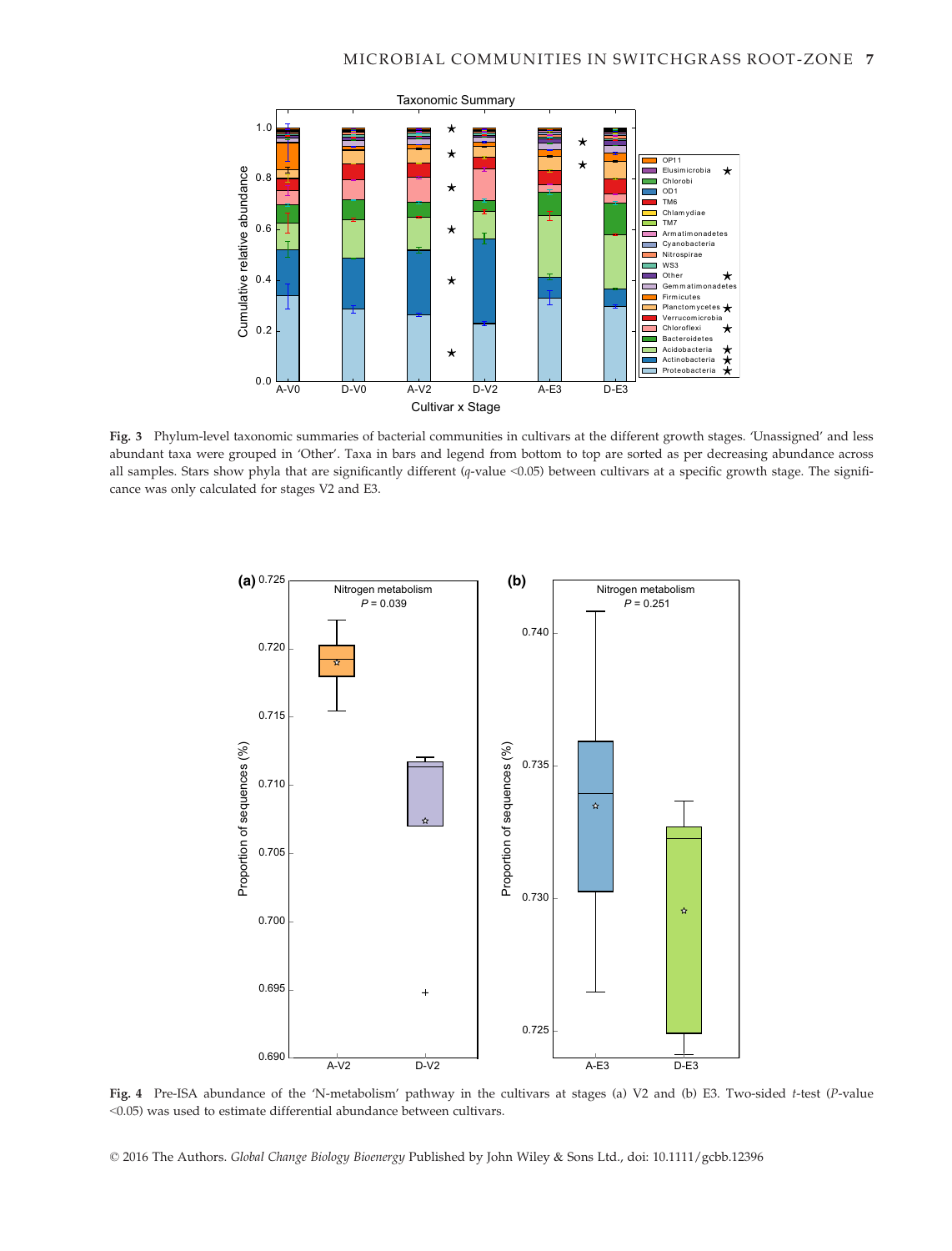

Fig. 3 Phylum-level taxonomic summaries of bacterial communities in cultivars at the different growth stages. 'Unassigned' and less abundant taxa were grouped in 'Other'. Taxa in bars and legend from bottom to top are sorted as per decreasing abundance across all samples. Stars show phyla that are significantly different ( $q$ -value <0.05) between cultivars at a specific growth stage. The significance was only calculated for stages V2 and E3.



Fig. 4 Pre-ISA abundance of the 'N-metabolism' pathway in the cultivars at stages (a) V2 and (b) E3. Two-sided t-test (P-value <0.05) was used to estimate differential abundance between cultivars.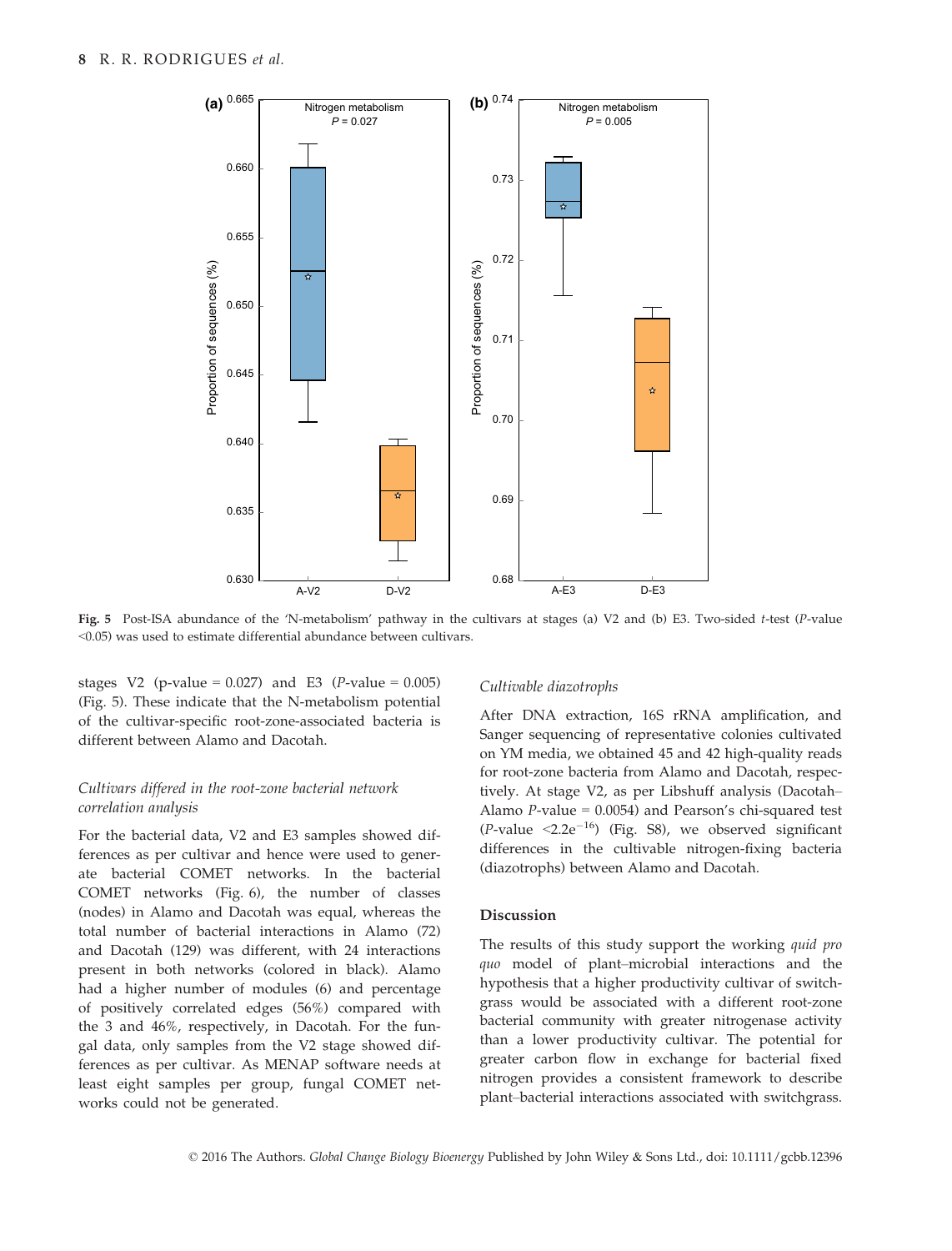

Fig. 5 Post-ISA abundance of the 'N-metabolism' pathway in the cultivars at stages (a) V2 and (b) E3. Two-sided t-test (P-value <0.05) was used to estimate differential abundance between cultivars.

stages V2 (p-value =  $0.027$ ) and E3 (*P*-value =  $0.005$ ) (Fig. 5). These indicate that the N-metabolism potential of the cultivar-specific root-zone-associated bacteria is different between Alamo and Dacotah.

# Cultivars differed in the root-zone bacterial network correlation analysis

For the bacterial data, V2 and E3 samples showed differences as per cultivar and hence were used to generate bacterial COMET networks. In the bacterial COMET networks (Fig. 6), the number of classes (nodes) in Alamo and Dacotah was equal, whereas the total number of bacterial interactions in Alamo (72) and Dacotah (129) was different, with 24 interactions present in both networks (colored in black). Alamo had a higher number of modules (6) and percentage of positively correlated edges (56%) compared with the 3 and 46%, respectively, in Dacotah. For the fungal data, only samples from the V2 stage showed differences as per cultivar. As MENAP software needs at least eight samples per group, fungal COMET networks could not be generated.

#### Cultivable diazotrophs

After DNA extraction, 16S rRNA amplification, and Sanger sequencing of representative colonies cultivated on YM media, we obtained 45 and 42 high-quality reads for root-zone bacteria from Alamo and Dacotah, respectively. At stage V2, as per Libshuff analysis (Dacotah– Alamo  $P$ -value = 0.0054) and Pearson's chi-squared test (P-value  $\leq 2.2e^{-16}$ ) (Fig. S8), we observed significant differences in the cultivable nitrogen-fixing bacteria (diazotrophs) between Alamo and Dacotah.

# Discussion

The results of this study support the working quid pro quo model of plant–microbial interactions and the hypothesis that a higher productivity cultivar of switchgrass would be associated with a different root-zone bacterial community with greater nitrogenase activity than a lower productivity cultivar. The potential for greater carbon flow in exchange for bacterial fixed nitrogen provides a consistent framework to describe plant–bacterial interactions associated with switchgrass.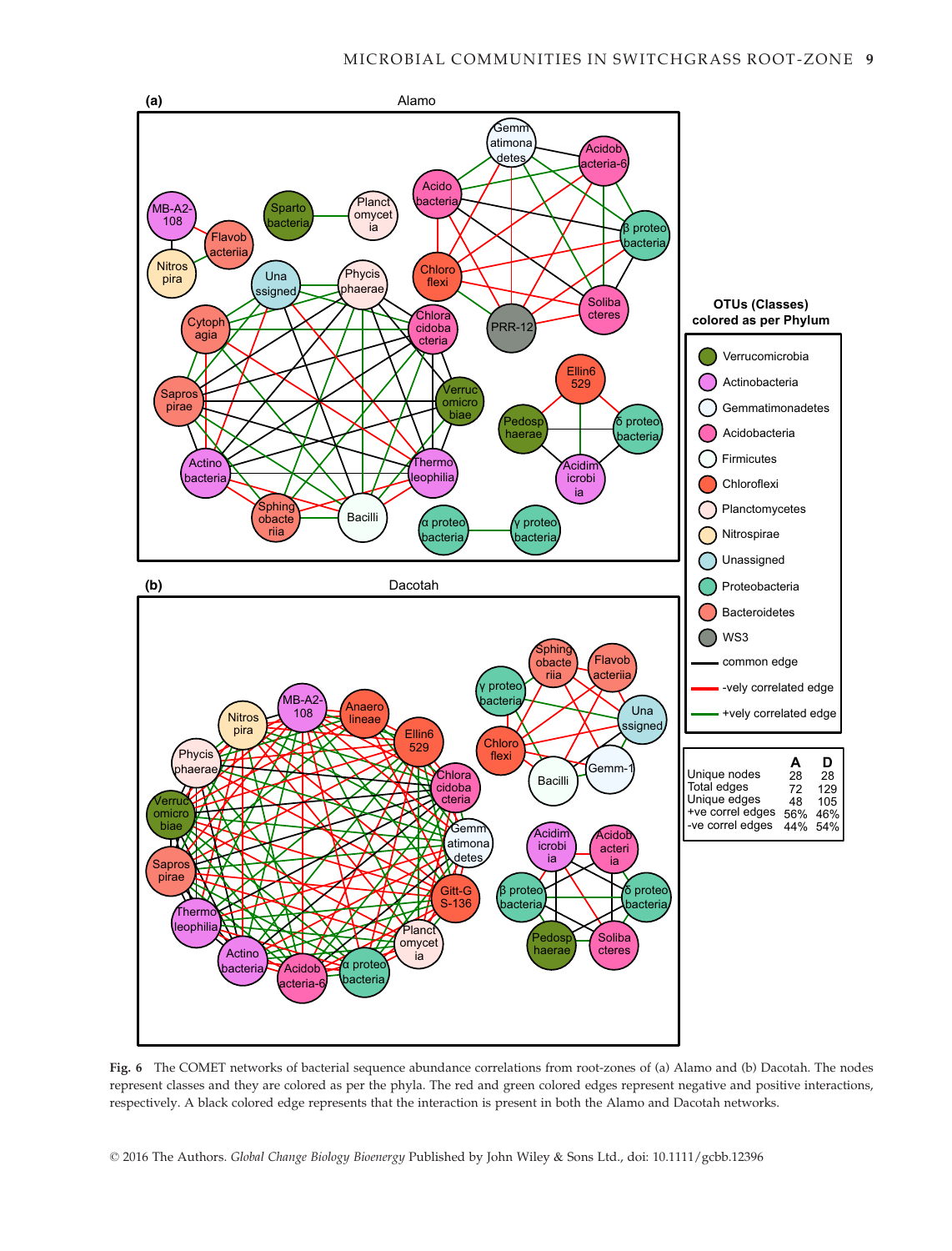

Fig. 6 The COMET networks of bacterial sequence abundance correlations from root-zones of (a) Alamo and (b) Dacotah. The nodes represent classes and they are colored as per the phyla. The red and green colored edges represent negative and positive interactions, respectively. A black colored edge represents that the interaction is present in both the Alamo and Dacotah networks.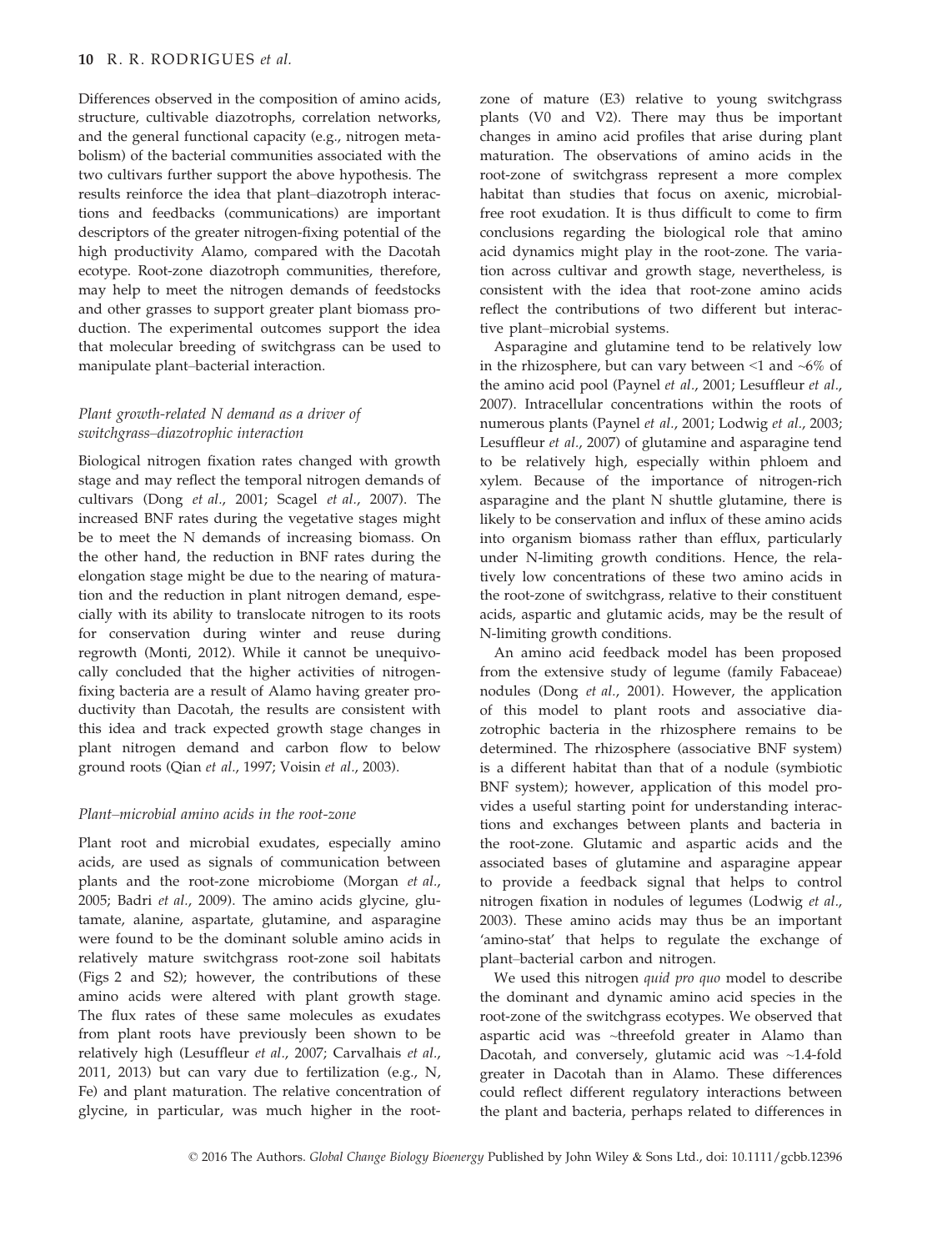## 10 R. R. RODRIGUES et al.

Differences observed in the composition of amino acids, structure, cultivable diazotrophs, correlation networks, and the general functional capacity (e.g., nitrogen metabolism) of the bacterial communities associated with the two cultivars further support the above hypothesis. The results reinforce the idea that plant–diazotroph interactions and feedbacks (communications) are important descriptors of the greater nitrogen-fixing potential of the high productivity Alamo, compared with the Dacotah ecotype. Root-zone diazotroph communities, therefore, may help to meet the nitrogen demands of feedstocks and other grasses to support greater plant biomass production. The experimental outcomes support the idea that molecular breeding of switchgrass can be used to manipulate plant–bacterial interaction.

# Plant growth-related N demand as a driver of switchgrass–diazotrophic interaction

Biological nitrogen fixation rates changed with growth stage and may reflect the temporal nitrogen demands of cultivars (Dong et al., 2001; Scagel et al., 2007). The increased BNF rates during the vegetative stages might be to meet the N demands of increasing biomass. On the other hand, the reduction in BNF rates during the elongation stage might be due to the nearing of maturation and the reduction in plant nitrogen demand, especially with its ability to translocate nitrogen to its roots for conservation during winter and reuse during regrowth (Monti, 2012). While it cannot be unequivocally concluded that the higher activities of nitrogenfixing bacteria are a result of Alamo having greater productivity than Dacotah, the results are consistent with this idea and track expected growth stage changes in plant nitrogen demand and carbon flow to below ground roots (Qian et al., 1997; Voisin et al., 2003).

#### Plant–microbial amino acids in the root-zone

Plant root and microbial exudates, especially amino acids, are used as signals of communication between plants and the root-zone microbiome (Morgan et al., 2005; Badri et al., 2009). The amino acids glycine, glutamate, alanine, aspartate, glutamine, and asparagine were found to be the dominant soluble amino acids in relatively mature switchgrass root-zone soil habitats (Figs 2 and S2); however, the contributions of these amino acids were altered with plant growth stage. The flux rates of these same molecules as exudates from plant roots have previously been shown to be relatively high (Lesuffleur et al., 2007; Carvalhais et al., 2011, 2013) but can vary due to fertilization (e.g., N, Fe) and plant maturation. The relative concentration of glycine, in particular, was much higher in the rootzone of mature (E3) relative to young switchgrass plants (V0 and V2). There may thus be important changes in amino acid profiles that arise during plant maturation. The observations of amino acids in the root-zone of switchgrass represent a more complex habitat than studies that focus on axenic, microbialfree root exudation. It is thus difficult to come to firm conclusions regarding the biological role that amino acid dynamics might play in the root-zone. The variation across cultivar and growth stage, nevertheless, is consistent with the idea that root-zone amino acids reflect the contributions of two different but interactive plant–microbial systems.

Asparagine and glutamine tend to be relatively low in the rhizosphere, but can vary between  $\leq 1$  and  $\sim 6\%$  of the amino acid pool (Paynel et al., 2001; Lesuffleur et al., 2007). Intracellular concentrations within the roots of numerous plants (Paynel et al., 2001; Lodwig et al., 2003; Lesuffleur et al., 2007) of glutamine and asparagine tend to be relatively high, especially within phloem and xylem. Because of the importance of nitrogen-rich asparagine and the plant N shuttle glutamine, there is likely to be conservation and influx of these amino acids into organism biomass rather than efflux, particularly under N-limiting growth conditions. Hence, the relatively low concentrations of these two amino acids in the root-zone of switchgrass, relative to their constituent acids, aspartic and glutamic acids, may be the result of N-limiting growth conditions.

An amino acid feedback model has been proposed from the extensive study of legume (family Fabaceae) nodules (Dong et al., 2001). However, the application of this model to plant roots and associative diazotrophic bacteria in the rhizosphere remains to be determined. The rhizosphere (associative BNF system) is a different habitat than that of a nodule (symbiotic BNF system); however, application of this model provides a useful starting point for understanding interactions and exchanges between plants and bacteria in the root-zone. Glutamic and aspartic acids and the associated bases of glutamine and asparagine appear to provide a feedback signal that helps to control nitrogen fixation in nodules of legumes (Lodwig et al., 2003). These amino acids may thus be an important 'amino-stat' that helps to regulate the exchange of plant–bacterial carbon and nitrogen.

We used this nitrogen quid pro quo model to describe the dominant and dynamic amino acid species in the root-zone of the switchgrass ecotypes. We observed that aspartic acid was ~threefold greater in Alamo than Dacotah, and conversely, glutamic acid was ~1.4-fold greater in Dacotah than in Alamo. These differences could reflect different regulatory interactions between the plant and bacteria, perhaps related to differences in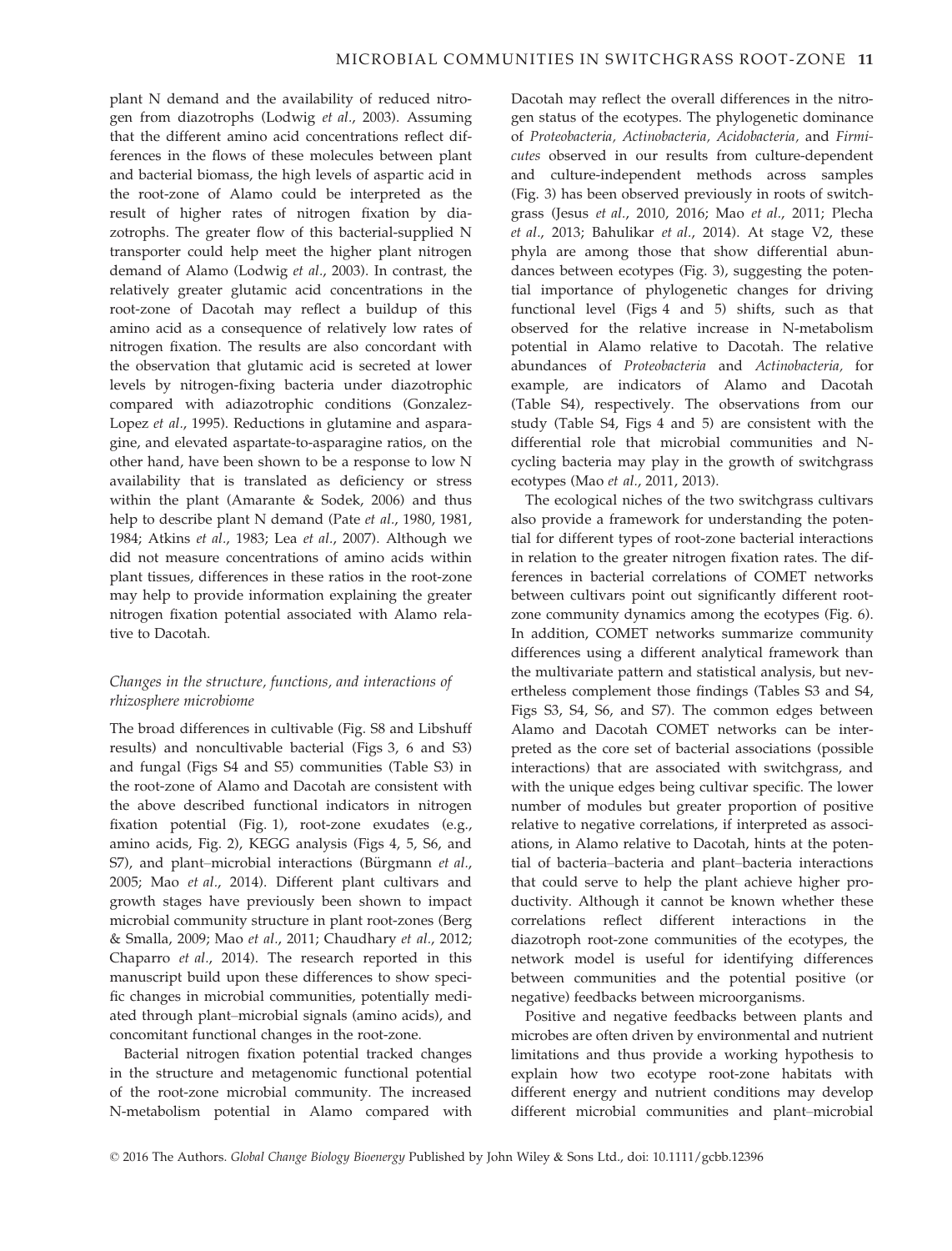plant N demand and the availability of reduced nitrogen from diazotrophs (Lodwig et al., 2003). Assuming that the different amino acid concentrations reflect differences in the flows of these molecules between plant and bacterial biomass, the high levels of aspartic acid in the root-zone of Alamo could be interpreted as the result of higher rates of nitrogen fixation by diazotrophs. The greater flow of this bacterial-supplied N transporter could help meet the higher plant nitrogen demand of Alamo (Lodwig et al., 2003). In contrast, the relatively greater glutamic acid concentrations in the root-zone of Dacotah may reflect a buildup of this amino acid as a consequence of relatively low rates of nitrogen fixation. The results are also concordant with the observation that glutamic acid is secreted at lower levels by nitrogen-fixing bacteria under diazotrophic compared with adiazotrophic conditions (Gonzalez-Lopez et al., 1995). Reductions in glutamine and asparagine, and elevated aspartate-to-asparagine ratios, on the other hand, have been shown to be a response to low N availability that is translated as deficiency or stress within the plant (Amarante & Sodek, 2006) and thus help to describe plant N demand (Pate et al., 1980, 1981, 1984; Atkins et al., 1983; Lea et al., 2007). Although we did not measure concentrations of amino acids within plant tissues, differences in these ratios in the root-zone may help to provide information explaining the greater nitrogen fixation potential associated with Alamo relative to Dacotah.

## Changes in the structure, functions, and interactions of rhizosphere microbiome

The broad differences in cultivable (Fig. S8 and Libshuff results) and noncultivable bacterial (Figs 3, 6 and S3) and fungal (Figs S4 and S5) communities (Table S3) in the root-zone of Alamo and Dacotah are consistent with the above described functional indicators in nitrogen fixation potential (Fig. 1), root-zone exudates (e.g., amino acids, Fig. 2), KEGG analysis (Figs 4, 5, S6, and S7), and plant–microbial interactions (Bürgmann et al., 2005; Mao et al., 2014). Different plant cultivars and growth stages have previously been shown to impact microbial community structure in plant root-zones (Berg & Smalla, 2009; Mao et al., 2011; Chaudhary et al., 2012; Chaparro et al., 2014). The research reported in this manuscript build upon these differences to show specific changes in microbial communities, potentially mediated through plant–microbial signals (amino acids), and concomitant functional changes in the root-zone.

Bacterial nitrogen fixation potential tracked changes in the structure and metagenomic functional potential of the root-zone microbial community. The increased N-metabolism potential in Alamo compared with Dacotah may reflect the overall differences in the nitrogen status of the ecotypes. The phylogenetic dominance of Proteobacteria, Actinobacteria, Acidobacteria, and Firmicutes observed in our results from culture-dependent and culture-independent methods across samples (Fig. 3) has been observed previously in roots of switchgrass (Jesus et al., 2010, 2016; Mao et al., 2011; Plecha et al., 2013; Bahulikar et al., 2014). At stage V2, these phyla are among those that show differential abundances between ecotypes (Fig. 3), suggesting the potential importance of phylogenetic changes for driving functional level (Figs 4 and 5) shifts, such as that observed for the relative increase in N-metabolism potential in Alamo relative to Dacotah. The relative abundances of Proteobacteria and Actinobacteria, for example, are indicators of Alamo and Dacotah (Table S4), respectively. The observations from our study (Table S4, Figs 4 and 5) are consistent with the differential role that microbial communities and Ncycling bacteria may play in the growth of switchgrass ecotypes (Mao et al., 2011, 2013).

The ecological niches of the two switchgrass cultivars also provide a framework for understanding the potential for different types of root-zone bacterial interactions in relation to the greater nitrogen fixation rates. The differences in bacterial correlations of COMET networks between cultivars point out significantly different rootzone community dynamics among the ecotypes (Fig. 6). In addition, COMET networks summarize community differences using a different analytical framework than the multivariate pattern and statistical analysis, but nevertheless complement those findings (Tables S3 and S4, Figs S3, S4, S6, and S7). The common edges between Alamo and Dacotah COMET networks can be interpreted as the core set of bacterial associations (possible interactions) that are associated with switchgrass, and with the unique edges being cultivar specific. The lower number of modules but greater proportion of positive relative to negative correlations, if interpreted as associations, in Alamo relative to Dacotah, hints at the potential of bacteria–bacteria and plant–bacteria interactions that could serve to help the plant achieve higher productivity. Although it cannot be known whether these correlations reflect different interactions in the diazotroph root-zone communities of the ecotypes, the network model is useful for identifying differences between communities and the potential positive (or negative) feedbacks between microorganisms.

Positive and negative feedbacks between plants and microbes are often driven by environmental and nutrient limitations and thus provide a working hypothesis to explain how two ecotype root-zone habitats with different energy and nutrient conditions may develop different microbial communities and plant–microbial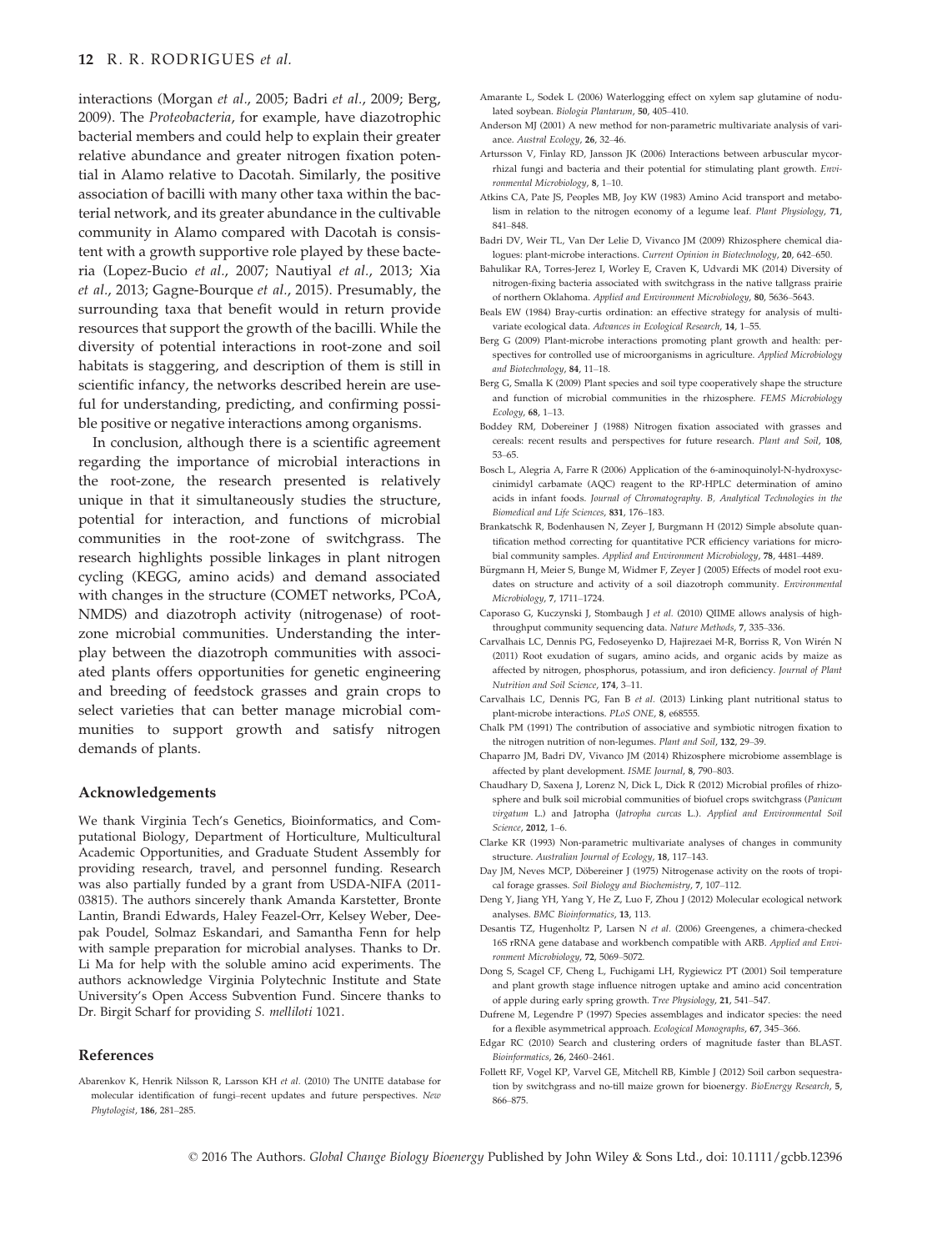## 12 R. R. RODRIGUES et al.

interactions (Morgan et al., 2005; Badri et al., 2009; Berg, 2009). The Proteobacteria, for example, have diazotrophic bacterial members and could help to explain their greater relative abundance and greater nitrogen fixation potential in Alamo relative to Dacotah. Similarly, the positive association of bacilli with many other taxa within the bacterial network, and its greater abundance in the cultivable community in Alamo compared with Dacotah is consistent with a growth supportive role played by these bacteria (Lopez-Bucio et al., 2007; Nautiyal et al., 2013; Xia et al., 2013; Gagne-Bourque et al., 2015). Presumably, the surrounding taxa that benefit would in return provide resources that support the growth of the bacilli. While the diversity of potential interactions in root-zone and soil habitats is staggering, and description of them is still in scientific infancy, the networks described herein are useful for understanding, predicting, and confirming possible positive or negative interactions among organisms.

In conclusion, although there is a scientific agreement regarding the importance of microbial interactions in the root-zone, the research presented is relatively unique in that it simultaneously studies the structure, potential for interaction, and functions of microbial communities in the root-zone of switchgrass. The research highlights possible linkages in plant nitrogen cycling (KEGG, amino acids) and demand associated with changes in the structure (COMET networks, PCoA, NMDS) and diazotroph activity (nitrogenase) of rootzone microbial communities. Understanding the interplay between the diazotroph communities with associated plants offers opportunities for genetic engineering and breeding of feedstock grasses and grain crops to select varieties that can better manage microbial communities to support growth and satisfy nitrogen demands of plants.

#### Acknowledgements

We thank Virginia Tech's Genetics, Bioinformatics, and Computational Biology, Department of Horticulture, Multicultural Academic Opportunities, and Graduate Student Assembly for providing research, travel, and personnel funding. Research was also partially funded by a grant from USDA-NIFA (2011- 03815). The authors sincerely thank Amanda Karstetter, Bronte Lantin, Brandi Edwards, Haley Feazel-Orr, Kelsey Weber, Deepak Poudel, Solmaz Eskandari, and Samantha Fenn for help with sample preparation for microbial analyses. Thanks to Dr. Li Ma for help with the soluble amino acid experiments. The authors acknowledge Virginia Polytechnic Institute and State University's Open Access Subvention Fund. Sincere thanks to Dr. Birgit Scharf for providing S. melliloti 1021.

#### References

Abarenkov K, Henrik Nilsson R, Larsson KH et al. (2010) The UNITE database for molecular identification of fungi–recent updates and future perspectives. New Phytologist, 186, 281–285.

- Amarante L, Sodek L (2006) Waterlogging effect on xylem sap glutamine of nodulated soybean. Biologia Plantarum, 50, 405–410.
- Anderson MJ (2001) A new method for non-parametric multivariate analysis of variance. Austral Ecology, 26, 32–46.
- Artursson V, Finlay RD, Jansson JK (2006) Interactions between arbuscular mycorrhizal fungi and bacteria and their potential for stimulating plant growth. Environmental Microbiology, 8, 1–10.
- Atkins CA, Pate JS, Peoples MB, Joy KW (1983) Amino Acid transport and metabolism in relation to the nitrogen economy of a legume leaf. Plant Physiology, 71, 841–848.
- Badri DV, Weir TL, Van Der Lelie D, Vivanco JM (2009) Rhizosphere chemical dialogues: plant-microbe interactions. Current Opinion in Biotechnology, 20, 642–650.
- Bahulikar RA, Torres-Jerez I, Worley E, Craven K, Udvardi MK (2014) Diversity of nitrogen-fixing bacteria associated with switchgrass in the native tallgrass prairie of northern Oklahoma. Applied and Environment Microbiology, 80, 5636–5643.
- Beals EW (1984) Bray-curtis ordination: an effective strategy for analysis of multivariate ecological data. Advances in Ecological Research, 14, 1–55.
- Berg G (2009) Plant-microbe interactions promoting plant growth and health: perspectives for controlled use of microorganisms in agriculture. Applied Microbiology and Biotechnology, 84, 11–18.
- Berg G, Smalla K (2009) Plant species and soil type cooperatively shape the structure and function of microbial communities in the rhizosphere. FEMS Microbiology Ecology, 68, 1–13.
- Boddey RM, Dobereiner J (1988) Nitrogen fixation associated with grasses and cereals: recent results and perspectives for future research. Plant and Soil, 108, 53–65.
- Bosch L, Alegria A, Farre R (2006) Application of the 6-aminoquinolyl-N-hydroxysccinimidyl carbamate (AQC) reagent to the RP-HPLC determination of amino acids in infant foods. Journal of Chromatography. B, Analytical Technologies in the Biomedical and Life Sciences, 831, 176–183.
- Brankatschk R, Bodenhausen N, Zeyer J, Burgmann H (2012) Simple absolute quantification method correcting for quantitative PCR efficiency variations for microbial community samples. Applied and Environment Microbiology, 78, 4481–4489.
- Bürgmann H, Meier S, Bunge M, Widmer F, Zeyer J (2005) Effects of model root exudates on structure and activity of a soil diazotroph community. Environmental Microbiology, 7, 1711–1724.
- Caporaso G, Kuczynski J, Stombaugh J et al. (2010) QIIME allows analysis of highthroughput community sequencing data. Nature Methods, 7, 335–336.
- Carvalhais LC, Dennis PG, Fedoseyenko D, Hajirezaei M-R, Borriss R, Von Wirén N (2011) Root exudation of sugars, amino acids, and organic acids by maize as affected by nitrogen, phosphorus, potassium, and iron deficiency. Journal of Plant Nutrition and Soil Science, 174, 3–11.
- Carvalhais LC, Dennis PG, Fan B et al. (2013) Linking plant nutritional status to plant-microbe interactions. PLoS ONE, 8, e68555.
- Chalk PM (1991) The contribution of associative and symbiotic nitrogen fixation to the nitrogen nutrition of non-legumes. Plant and Soil, 132, 29–39.
- Chaparro JM, Badri DV, Vivanco JM (2014) Rhizosphere microbiome assemblage is affected by plant development. ISME Journal, 8, 790–803.
- Chaudhary D, Saxena J, Lorenz N, Dick L, Dick R (2012) Microbial profiles of rhizosphere and bulk soil microbial communities of biofuel crops switchgrass (Panicum virgatum L.) and Jatropha (Jatropha curcas L.). Applied and Environmental Soil Science, 2012, 1–6.
- Clarke KR (1993) Non-parametric multivariate analyses of changes in community structure. Australian Journal of Ecology, 18, 117–143.
- Day JM, Neves MCP, Döbereiner J (1975) Nitrogenase activity on the roots of tropical forage grasses. Soil Biology and Biochemistry, 7, 107–112.
- Deng Y, Jiang YH, Yang Y, He Z, Luo F, Zhou J (2012) Molecular ecological network analyses. BMC Bioinformatics, 13, 113.
- Desantis TZ, Hugenholtz P, Larsen N et al. (2006) Greengenes, a chimera-checked 16S rRNA gene database and workbench compatible with ARB. Applied and Environment Microbiology, 72, 5069–5072.
- Dong S, Scagel CF, Cheng L, Fuchigami LH, Rygiewicz PT (2001) Soil temperature and plant growth stage influence nitrogen uptake and amino acid concentration of apple during early spring growth. Tree Physiology, 21, 541–547.
- Dufrene M, Legendre P (1997) Species assemblages and indicator species: the need for a flexible asymmetrical approach. Ecological Monographs, 67, 345–366.
- Edgar RC (2010) Search and clustering orders of magnitude faster than BLAST. Bioinformatics, 26, 2460–2461.
- Follett RF, Vogel KP, Varvel GE, Mitchell RB, Kimble J (2012) Soil carbon sequestration by switchgrass and no-till maize grown for bioenergy. BioEnergy Research, 5, 866–875.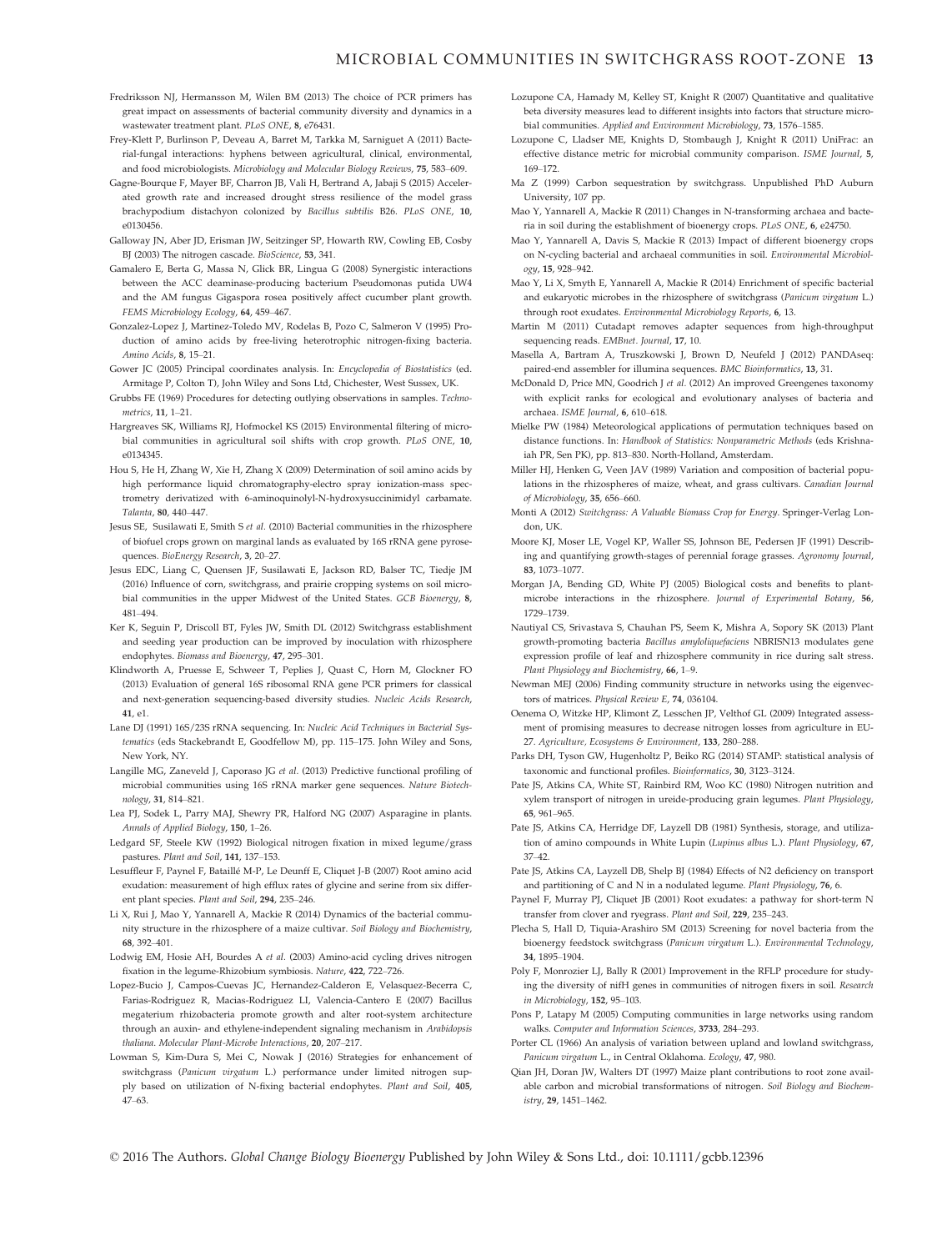- Fredriksson NJ, Hermansson M, Wilen BM (2013) The choice of PCR primers has great impact on assessments of bacterial community diversity and dynamics in a wastewater treatment plant. PLoS ONE, 8, e76431.
- Frey-Klett P, Burlinson P, Deveau A, Barret M, Tarkka M, Sarniguet A (2011) Bacterial-fungal interactions: hyphens between agricultural, clinical, environmental, and food microbiologists. Microbiology and Molecular Biology Reviews, 75, 583–609.
- Gagne-Bourque F, Mayer BF, Charron JB, Vali H, Bertrand A, Jabaji S (2015) Accelerated growth rate and increased drought stress resilience of the model grass brachypodium distachyon colonized by Bacillus subtilis B26. PLoS ONE, 10, e0130456.
- Galloway JN, Aber JD, Erisman JW, Seitzinger SP, Howarth RW, Cowling EB, Cosby BJ (2003) The nitrogen cascade. BioScience, 53, 341.
- Gamalero E, Berta G, Massa N, Glick BR, Lingua G (2008) Synergistic interactions between the ACC deaminase-producing bacterium Pseudomonas putida UW4 and the AM fungus Gigaspora rosea positively affect cucumber plant growth. FEMS Microbiology Ecology, 64, 459–467.
- Gonzalez-Lopez J, Martinez-Toledo MV, Rodelas B, Pozo C, Salmeron V (1995) Production of amino acids by free-living heterotrophic nitrogen-fixing bacteria. Amino Acids, 8, 15–21.
- Gower JC (2005) Principal coordinates analysis. In: Encyclopedia of Biostatistics (ed. Armitage P, Colton T), John Wiley and Sons Ltd, Chichester, West Sussex, UK.
- Grubbs FE (1969) Procedures for detecting outlying observations in samples. Technometrics, 11, 1–21.
- Hargreaves SK, Williams RJ, Hofmockel KS (2015) Environmental filtering of microbial communities in agricultural soil shifts with crop growth. PLoS ONE, 10, e0134345.
- Hou S, He H, Zhang W, Xie H, Zhang X (2009) Determination of soil amino acids by high performance liquid chromatography-electro spray ionization-mass spectrometry derivatized with 6-aminoquinolyl-N-hydroxysuccinimidyl carbamate. Talanta, 80, 440–447.
- Jesus SE, Susilawati E, Smith S et al. (2010) Bacterial communities in the rhizosphere of biofuel crops grown on marginal lands as evaluated by 16S rRNA gene pyrosequences. BioEnergy Research, 3, 20–27.
- Jesus EDC, Liang C, Quensen JF, Susilawati E, Jackson RD, Balser TC, Tiedje JM (2016) Influence of corn, switchgrass, and prairie cropping systems on soil microbial communities in the upper Midwest of the United States. GCB Bioenergy, 8, 481–494.
- Ker K, Seguin P, Driscoll BT, Fyles JW, Smith DL (2012) Switchgrass establishment and seeding year production can be improved by inoculation with rhizosphere endophytes. Biomass and Bioenergy, 47, 295-301.
- Klindworth A, Pruesse E, Schweer T, Peplies J, Quast C, Horn M, Glockner FO (2013) Evaluation of general 16S ribosomal RNA gene PCR primers for classical and next-generation sequencing-based diversity studies. Nucleic Acids Research, 41, e1.
- Lane DJ (1991) 16S/23S rRNA sequencing. In: Nucleic Acid Techniques in Bacterial Systematics (eds Stackebrandt E, Goodfellow M), pp. 115–175. John Wiley and Sons, New York, NY.
- Langille MG, Zaneveld J, Caporaso JG et al. (2013) Predictive functional profiling of microbial communities using 16S rRNA marker gene sequences. Nature Biotechnology, 31, 814–821.
- Lea PJ, Sodek L, Parry MAJ, Shewry PR, Halford NG (2007) Asparagine in plants. Annals of Applied Biology, 150, 1–26.
- Ledgard SF, Steele KW (1992) Biological nitrogen fixation in mixed legume/grass pastures. Plant and Soil, 141, 137–153.
- Lesuffleur F, Paynel F, Bataillé M-P, Le Deunff E, Cliquet J-B (2007) Root amino acid exudation: measurement of high efflux rates of glycine and serine from six different plant species. Plant and Soil, 294, 235–246.
- Li X, Rui J, Mao Y, Yannarell A, Mackie R (2014) Dynamics of the bacterial community structure in the rhizosphere of a maize cultivar. Soil Biology and Biochemistry, 68, 392–401.
- Lodwig EM, Hosie AH, Bourdes A et al. (2003) Amino-acid cycling drives nitrogen fixation in the legume-Rhizobium symbiosis. Nature, 422, 722–726.
- Lopez-Bucio J, Campos-Cuevas JC, Hernandez-Calderon E, Velasquez-Becerra C, Farias-Rodriguez R, Macias-Rodriguez LI, Valencia-Cantero E (2007) Bacillus megaterium rhizobacteria promote growth and alter root-system architecture through an auxin- and ethylene-independent signaling mechanism in Arabidopsis thaliana. Molecular Plant-Microbe Interactions, 20, 207–217.
- Lowman S, Kim-Dura S, Mei C, Nowak J (2016) Strategies for enhancement of switchgrass (Panicum virgatum L.) performance under limited nitrogen supply based on utilization of N-fixing bacterial endophytes. Plant and Soil, 405, 47–63.
- Lozupone CA, Hamady M, Kelley ST, Knight R (2007) Quantitative and qualitative beta diversity measures lead to different insights into factors that structure microbial communities. Applied and Environment Microbiology, 73, 1576–1585.
- Lozupone C, Lladser ME, Knights D, Stombaugh J, Knight R (2011) UniFrac: an effective distance metric for microbial community comparison. ISME Journal, 5, 169–172.
- Ma Z (1999) Carbon sequestration by switchgrass. Unpublished PhD Auburn University, 107 pp.
- Mao Y, Yannarell A, Mackie R (2011) Changes in N-transforming archaea and bacteria in soil during the establishment of bioenergy crops. PLoS ONE, 6, e24750.
- Mao Y, Yannarell A, Davis S, Mackie R (2013) Impact of different bioenergy crops on N-cycling bacterial and archaeal communities in soil. Environmental Microbiology, 15, 928–942.
- Mao Y, Li X, Smyth E, Yannarell A, Mackie R (2014) Enrichment of specific bacterial and eukaryotic microbes in the rhizosphere of switchgrass (*Panicum virgatum* L.) through root exudates. Environmental Microbiology Reports, 6, 13.
- Martin M (2011) Cutadapt removes adapter sequences from high-throughput sequencing reads. EMBnet. Journal, 17, 10.
- Masella A, Bartram A, Truszkowski J, Brown D, Neufeld J (2012) PANDAseq: paired-end assembler for illumina sequences. BMC Bioinformatics, 13, 31.
- McDonald D, Price MN, Goodrich J et al. (2012) An improved Greengenes taxonomy with explicit ranks for ecological and evolutionary analyses of bacteria and archaea. ISME Journal, 6, 610–618.
- Mielke PW (1984) Meteorological applications of permutation techniques based on distance functions. In: Handbook of Statistics: Nonparametric Methods (eds Krishnaiah PR, Sen PK), pp. 813–830. North-Holland, Amsterdam.
- Miller HJ, Henken G, Veen JAV (1989) Variation and composition of bacterial populations in the rhizospheres of maize, wheat, and grass cultivars. Canadian Journal of Microbiology, 35, 656–660.
- Monti A (2012) Switchgrass: A Valuable Biomass Crop for Energy. Springer-Verlag London, UK.
- Moore KJ, Moser LE, Vogel KP, Waller SS, Johnson BE, Pedersen JF (1991) Describing and quantifying growth-stages of perennial forage grasses. Agronomy Journal, 83, 1073–1077.
- Morgan JA, Bending GD, White PJ (2005) Biological costs and benefits to plantmicrobe interactions in the rhizosphere. Journal of Experimental Botany, 56, 1729–1739.
- Nautiyal CS, Srivastava S, Chauhan PS, Seem K, Mishra A, Sopory SK (2013) Plant growth-promoting bacteria Bacillus amyloliquefaciens NBRISN13 modulates gene expression profile of leaf and rhizosphere community in rice during salt stress. Plant Physiology and Biochemistry, 66, 1–9.
- Newman MEJ (2006) Finding community structure in networks using the eigenvectors of matrices. Physical Review E, 74, 036104.
- Oenema O, Witzke HP, Klimont Z, Lesschen JP, Velthof GL (2009) Integrated assessment of promising measures to decrease nitrogen losses from agriculture in EU-27. Agriculture, Ecosystems & Environment, 133, 280–288.
- Parks DH, Tyson GW, Hugenholtz P, Beiko RG (2014) STAMP: statistical analysis of taxonomic and functional profiles. Bioinformatics, 30, 3123–3124.
- Pate JS, Atkins CA, White ST, Rainbird RM, Woo KC (1980) Nitrogen nutrition and xylem transport of nitrogen in ureide-producing grain legumes. Plant Physiology, 65, 961–965.
- Pate JS, Atkins CA, Herridge DF, Layzell DB (1981) Synthesis, storage, and utilization of amino compounds in White Lupin (Lupinus albus L.). Plant Physiology, 67, 37–42.
- Pate JS, Atkins CA, Layzell DB, Shelp BJ (1984) Effects of N2 deficiency on transport and partitioning of C and N in a nodulated legume. Plant Physiology, 76, 6.
- Paynel F, Murray PJ, Cliquet JB (2001) Root exudates: a pathway for short-term N transfer from clover and ryegrass. Plant and Soil, 229, 235–243.
- Plecha S, Hall D, Tiquia-Arashiro SM (2013) Screening for novel bacteria from the bioenergy feedstock switchgrass (Panicum virgatum L.). Environmental Technology, 34, 1895–1904.
- Poly F, Monrozier LJ, Bally R (2001) Improvement in the RFLP procedure for studying the diversity of nifH genes in communities of nitrogen fixers in soil. Research in Microbiology, 152, 95–103.
- Pons P, Latapy M (2005) Computing communities in large networks using random walks. Computer and Information Sciences, 3733, 284–293.
- Porter CL (1966) An analysis of variation between upland and lowland switchgrass, Panicum virgatum L., in Central Oklahoma. Ecology, 47, 980.
- Qian JH, Doran JW, Walters DT (1997) Maize plant contributions to root zone available carbon and microbial transformations of nitrogen. Soil Biology and Biochemistry, 29, 1451–1462.